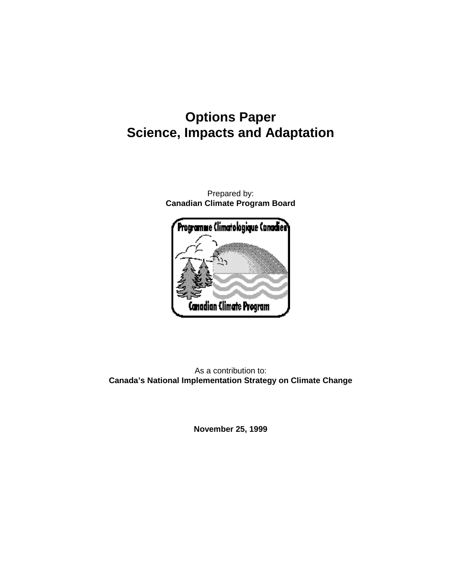# **Options Paper Science, Impacts and Adaptation**

Prepared by: **Canadian Climate Program Board**



As a contribution to: **Canada's National Implementation Strategy on Climate Change**

**November 25, 1999**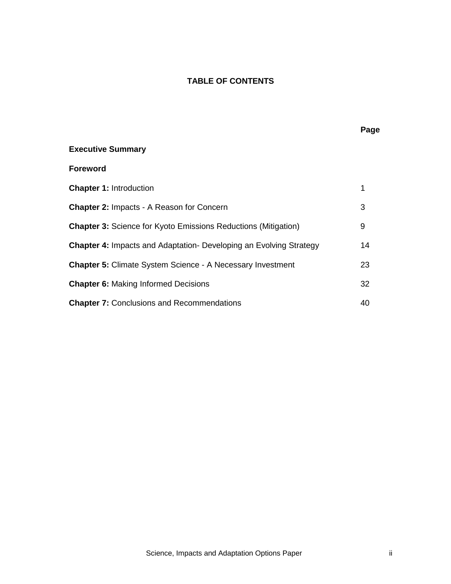# **TABLE OF CONTENTS**

# **Executive Summary Foreword**

| <b>Chapter 1: Introduction</b>                                            |    |
|---------------------------------------------------------------------------|----|
| <b>Chapter 2: Impacts - A Reason for Concern</b>                          | 3  |
| <b>Chapter 3:</b> Science for Kyoto Emissions Reductions (Mitigation)     | 9  |
| <b>Chapter 4: Impacts and Adaptation- Developing an Evolving Strategy</b> | 14 |
| <b>Chapter 5: Climate System Science - A Necessary Investment</b>         | 23 |
| <b>Chapter 6: Making Informed Decisions</b>                               | 32 |
| <b>Chapter 7: Conclusions and Recommendations</b>                         | 40 |

# **Page**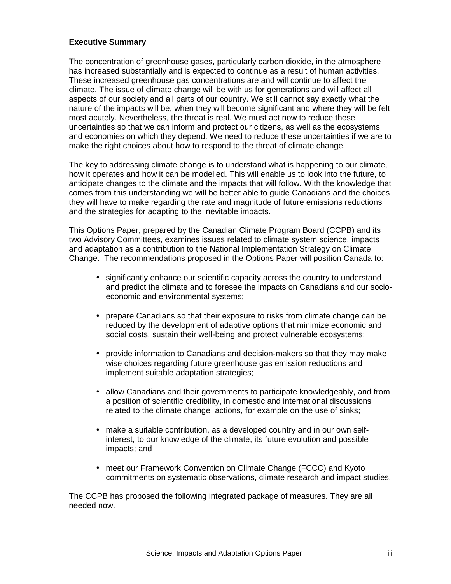#### **Executive Summary**

The concentration of greenhouse gases, particularly carbon dioxide, in the atmosphere has increased substantially and is expected to continue as a result of human activities. These increased greenhouse gas concentrations are and will continue to affect the climate. The issue of climate change will be with us for generations and will affect all aspects of our society and all parts of our country. We still cannot say exactly what the nature of the impacts will be, when they will become significant and where they will be felt most acutely. Nevertheless, the threat is real. We must act now to reduce these uncertainties so that we can inform and protect our citizens, as well as the ecosystems and economies on which they depend. We need to reduce these uncertainties if we are to make the right choices about how to respond to the threat of climate change.

The key to addressing climate change is to understand what is happening to our climate, how it operates and how it can be modelled. This will enable us to look into the future, to anticipate changes to the climate and the impacts that will follow. With the knowledge that comes from this understanding we will be better able to guide Canadians and the choices they will have to make regarding the rate and magnitude of future emissions reductions and the strategies for adapting to the inevitable impacts.

This Options Paper, prepared by the Canadian Climate Program Board (CCPB) and its two Advisory Committees, examines issues related to climate system science, impacts and adaptation as a contribution to the National Implementation Strategy on Climate Change. The recommendations proposed in the Options Paper will position Canada to:

- significantly enhance our scientific capacity across the country to understand and predict the climate and to foresee the impacts on Canadians and our socioeconomic and environmental systems;
- prepare Canadians so that their exposure to risks from climate change can be reduced by the development of adaptive options that minimize economic and social costs, sustain their well-being and protect vulnerable ecosystems;
- provide information to Canadians and decision-makers so that they may make wise choices regarding future greenhouse gas emission reductions and implement suitable adaptation strategies;
- allow Canadians and their governments to participate knowledgeably, and from a position of scientific credibility, in domestic and international discussions related to the climate change actions, for example on the use of sinks;
- make a suitable contribution, as a developed country and in our own selfinterest, to our knowledge of the climate, its future evolution and possible impacts; and
- meet our Framework Convention on Climate Change (FCCC) and Kyoto commitments on systematic observations, climate research and impact studies.

The CCPB has proposed the following integrated package of measures. They are all needed now.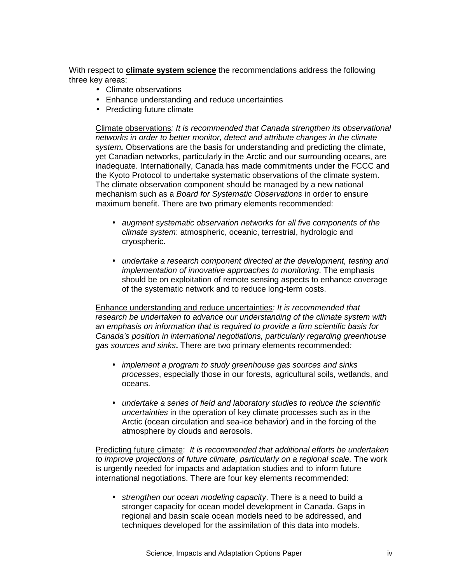With respect to **climate system science** the recommendations address the following three key areas:

- Climate observations
- Enhance understanding and reduce uncertainties
- Predicting future climate

Climate observations*: It is recommended that Canada strengthen its observational networks in order to better monitor, detect and attribute changes in the climate system.* Observations are the basis for understanding and predicting the climate, yet Canadian networks, particularly in the Arctic and our surrounding oceans, are inadequate. Internationally, Canada has made commitments under the FCCC and the Kyoto Protocol to undertake systematic observations of the climate system. The climate observation component should be managed by a new national mechanism such as a *Board for Systematic Observations* in order to ensure maximum benefit. There are two primary elements recommended:

- *augment systematic observation networks for all five components of the climate system*: atmospheric, oceanic, terrestrial, hydrologic and cryospheric.
- *undertake a research component directed at the development, testing and implementation of innovative approaches to monitoring*. The emphasis should be on exploitation of remote sensing aspects to enhance coverage of the systematic network and to reduce long-term costs.

Enhance understanding and reduce uncertainties*: It is recommended that research be undertaken to advance our understanding of the climate system with an emphasis on information that is required to provide a firm scientific basis for Canada's position in international negotiations, particularly regarding greenhouse gas sources and sinks***.** There are two primary elements recommended*:*

- *implement a program to study greenhouse gas sources and sinks processes*, especially those in our forests, agricultural soils, wetlands, and oceans.
- *undertake a series of field and laboratory studies to reduce the scientific uncertainties* in the operation of key climate processes such as in the Arctic (ocean circulation and sea-ice behavior) and in the forcing of the atmosphere by clouds and aerosols.

Predicting future climate:*It is recommended that additional efforts be undertaken to improve projections of future climate, particularly on a regional scale.* The work is urgently needed for impacts and adaptation studies and to inform future international negotiations. There are four key elements recommended:

• *strengthen our ocean modeling capacity*. There is a need to build a stronger capacity for ocean model development in Canada. Gaps in regional and basin scale ocean models need to be addressed, and techniques developed for the assimilation of this data into models.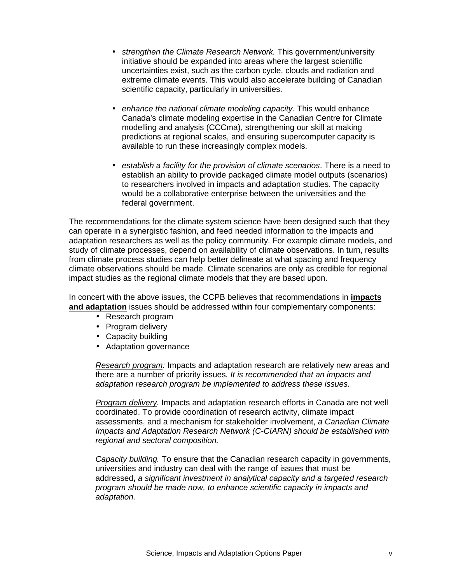- *strengthen the Climate Research Network.* This government/university initiative should be expanded into areas where the largest scientific uncertainties exist, such as the carbon cycle, clouds and radiation and extreme climate events. This would also accelerate building of Canadian scientific capacity, particularly in universities.
- *enhance the national climate modeling capacity*. This would enhance Canada's climate modeling expertise in the Canadian Centre for Climate modelling and analysis (CCCma), strengthening our skill at making predictions at regional scales, and ensuring supercomputer capacity is available to run these increasingly complex models.
- *establish a facility for the provision of climate scenarios*. There is a need to establish an ability to provide packaged climate model outputs (scenarios) to researchers involved in impacts and adaptation studies. The capacity would be a collaborative enterprise between the universities and the federal government.

The recommendations for the climate system science have been designed such that they can operate in a synergistic fashion, and feed needed information to the impacts and adaptation researchers as well as the policy community. For example climate models, and study of climate processes, depend on availability of climate observations. In turn, results from climate process studies can help better delineate at what spacing and frequency climate observations should be made. Climate scenarios are only as credible for regional impact studies as the regional climate models that they are based upon.

In concert with the above issues, the CCPB believes that recommendations in **impacts and adaptation** issues should be addressed within four complementary components:

- Research program
- Program delivery
- Capacity building
- Adaptation governance

*Research program:* Impacts and adaptation research are relatively new areas and there are a number of priority issues*. It is recommended that an impacts and adaptation research program be implemented to address these issues.*

*Program delivery.* Impacts and adaptation research efforts in Canada are not well coordinated. To provide coordination of research activity, climate impact assessments, and a mechanism for stakeholder involvement, *a Canadian Climate Impacts and Adaptation Research Network (C-CIARN) should be established with regional and sectoral composition.*

*Capacity building.* To ensure that the Canadian research capacity in governments, universities and industry can deal with the range of issues that must be addressed**,** *a significant investment in analytical capacity and a targeted research program should be made now, to enhance scientific capacity in impacts and adaptation.*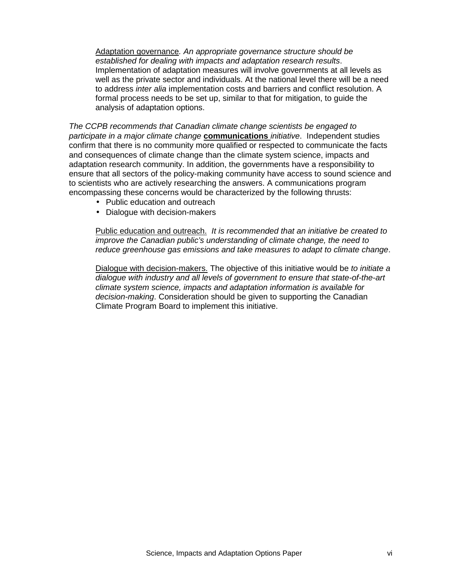Adaptation governance*. An appropriate governance structure should be established for dealing with impacts and adaptation research results*. Implementation of adaptation measures will involve governments at all levels as well as the private sector and individuals. At the national level there will be a need to address *inter alia* implementation costs and barriers and conflict resolution. A formal process needs to be set up, similar to that for mitigation, to guide the analysis of adaptation options.

*The CCPB recommends that Canadian climate change scientists be engaged to participate in a major climate change* **communications** *initiative*. Independent studies confirm that there is no community more qualified or respected to communicate the facts and consequences of climate change than the climate system science, impacts and adaptation research community. In addition, the governments have a responsibility to ensure that all sectors of the policy-making community have access to sound science and to scientists who are actively researching the answers. A communications program encompassing these concerns would be characterized by the following thrusts:

- Public education and outreach
- Dialogue with decision-makers

Public education and outreach. *It is recommended that an initiative be created to improve the Canadian public's understanding of climate change, the need to reduce greenhouse gas emissions and take measures to adapt to climate change*.

Dialogue with decision-makers. The objective of this initiative would be *to initiate a dialogue with industry and all levels of government to ensure that state-of-the-art climate system science, impacts and adaptation information is available for decision-making*. Consideration should be given to supporting the Canadian Climate Program Board to implement this initiative.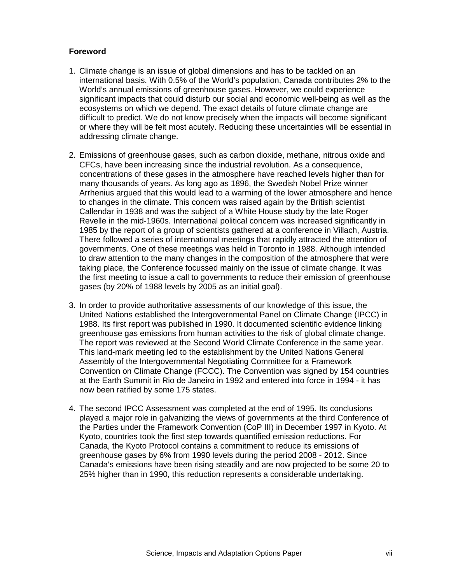# **Foreword**

- 1. Climate change is an issue of global dimensions and has to be tackled on an international basis. With 0.5% of the World's population, Canada contributes 2% to the World's annual emissions of greenhouse gases. However, we could experience significant impacts that could disturb our social and economic well-being as well as the ecosystems on which we depend. The exact details of future climate change are difficult to predict. We do not know precisely when the impacts will become significant or where they will be felt most acutely. Reducing these uncertainties will be essential in addressing climate change.
- 2. Emissions of greenhouse gases, such as carbon dioxide, methane, nitrous oxide and CFCs, have been increasing since the industrial revolution. As a consequence, concentrations of these gases in the atmosphere have reached levels higher than for many thousands of years. As long ago as 1896, the Swedish Nobel Prize winner Arrhenius argued that this would lead to a warming of the lower atmosphere and hence to changes in the climate. This concern was raised again by the British scientist Callendar in 1938 and was the subject of a White House study by the late Roger Revelle in the mid-1960s. International political concern was increased significantly in 1985 by the report of a group of scientists gathered at a conference in Villach, Austria. There followed a series of international meetings that rapidly attracted the attention of governments. One of these meetings was held in Toronto in 1988. Although intended to draw attention to the many changes in the composition of the atmosphere that were taking place, the Conference focussed mainly on the issue of climate change. It was the first meeting to issue a call to governments to reduce their emission of greenhouse gases (by 20% of 1988 levels by 2005 as an initial goal).
- 3. In order to provide authoritative assessments of our knowledge of this issue, the United Nations established the Intergovernmental Panel on Climate Change (IPCC) in 1988. Its first report was published in 1990. It documented scientific evidence linking greenhouse gas emissions from human activities to the risk of global climate change. The report was reviewed at the Second World Climate Conference in the same year. This land-mark meeting led to the establishment by the United Nations General Assembly of the Intergovernmental Negotiating Committee for a Framework Convention on Climate Change (FCCC). The Convention was signed by 154 countries at the Earth Summit in Rio de Janeiro in 1992 and entered into force in 1994 - it has now been ratified by some 175 states.
- 4. The second IPCC Assessment was completed at the end of 1995. Its conclusions played a major role in galvanizing the views of governments at the third Conference of the Parties under the Framework Convention (CoP III) in December 1997 in Kyoto. At Kyoto, countries took the first step towards quantified emission reductions. For Canada, the Kyoto Protocol contains a commitment to reduce its emissions of greenhouse gases by 6% from 1990 levels during the period 2008 - 2012. Since Canada's emissions have been rising steadily and are now projected to be some 20 to 25% higher than in 1990, this reduction represents a considerable undertaking.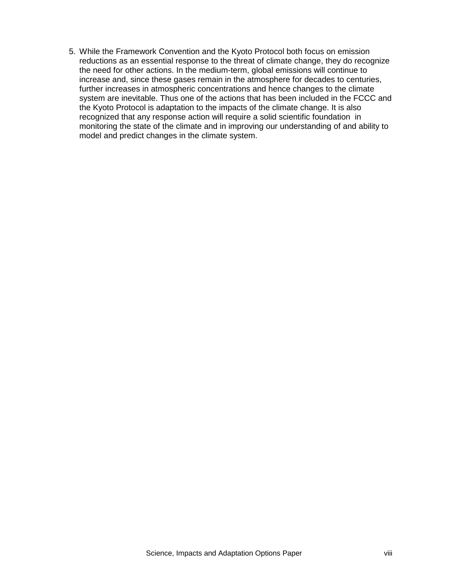5. While the Framework Convention and the Kyoto Protocol both focus on emission reductions as an essential response to the threat of climate change, they do recognize the need for other actions. In the medium-term, global emissions will continue to increase and, since these gases remain in the atmosphere for decades to centuries, further increases in atmospheric concentrations and hence changes to the climate system are inevitable. Thus one of the actions that has been included in the FCCC and the Kyoto Protocol is adaptation to the impacts of the climate change. It is also recognized that any response action will require a solid scientific foundation in monitoring the state of the climate and in improving our understanding of and ability to model and predict changes in the climate system.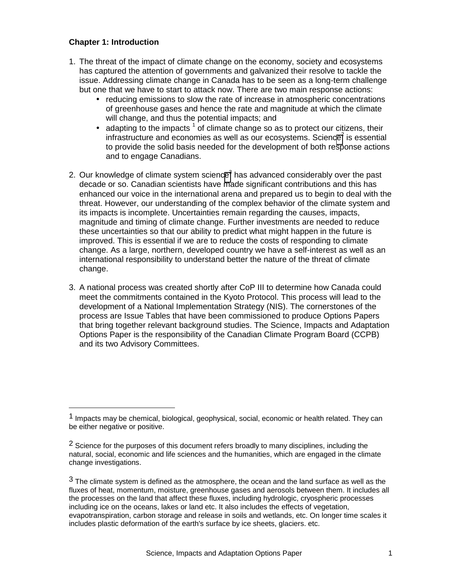# **Chapter 1: Introduction**

1

- 1. The threat of the impact of climate change on the economy, society and ecosystems has captured the attention of governments and galvanized their resolve to tackle the issue. Addressing climate change in Canada has to be seen as a long-term challenge but one that we have to start to attack now. There are two main response actions:
	- reducing emissions to slow the rate of increase in atmospheric concentrations of greenhouse gases and hence the rate and magnitude at which the climate will change, and thus the potential impacts; and
	- $\bullet$  adapting to the impacts  $^1$  of climate change so as to protect our citizens, their infrastructure and economies as well as our ecosystems. Science<sup>2</sup> is essential to provide the solid basis needed for the development of both response actions and to engage Canadians.
- 2. Our knowledge of climate system science<sup>3</sup> has advanced considerably over the past decade or so. Canadian scientists have made significant contributions and this has enhanced our voice in the international arena and prepared us to begin to deal with the threat. However, our understanding of the complex behavior of the climate system and its impacts is incomplete. Uncertainties remain regarding the causes, impacts, magnitude and timing of climate change. Further investments are needed to reduce these uncertainties so that our ability to predict what might happen in the future is improved. This is essential if we are to reduce the costs of responding to climate change. As a large, northern, developed country we have a self-interest as well as an international responsibility to understand better the nature of the threat of climate change.
- 3. A national process was created shortly after CoP III to determine how Canada could meet the commitments contained in the Kyoto Protocol. This process will lead to the development of a National Implementation Strategy (NIS). The cornerstones of the process are Issue Tables that have been commissioned to produce Options Papers that bring together relevant background studies. The Science, Impacts and Adaptation Options Paper is the responsibility of the Canadian Climate Program Board (CCPB) and its two Advisory Committees.

<sup>1</sup> Impacts may be chemical, biological, geophysical, social, economic or health related. They can be either negative or positive.

<sup>&</sup>lt;sup>2</sup> Science for the purposes of this document refers broadly to many disciplines, including the natural, social, economic and life sciences and the humanities, which are engaged in the climate change investigations.

 $3$  The climate system is defined as the atmosphere, the ocean and the land surface as well as the fluxes of heat, momentum, moisture, greenhouse gases and aerosols between them. It includes all the processes on the land that affect these fluxes, including hydrologic, cryospheric processes including ice on the oceans, lakes or land etc. It also includes the effects of vegetation, evapotranspiration, carbon storage and release in soils and wetlands, etc. On longer time scales it includes plastic deformation of the earth's surface by ice sheets, glaciers. etc.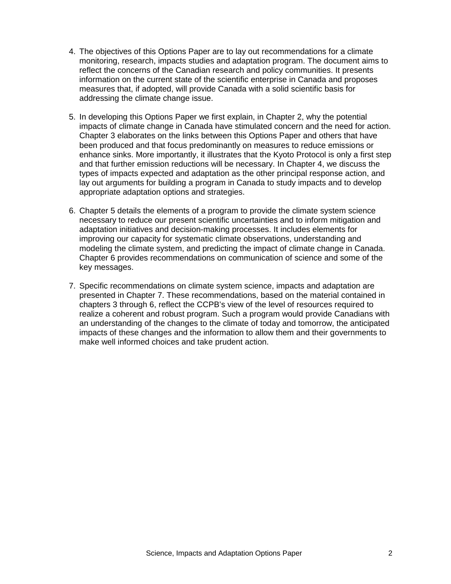- 4. The objectives of this Options Paper are to lay out recommendations for a climate monitoring, research, impacts studies and adaptation program. The document aims to reflect the concerns of the Canadian research and policy communities. It presents information on the current state of the scientific enterprise in Canada and proposes measures that, if adopted, will provide Canada with a solid scientific basis for addressing the climate change issue.
- 5. In developing this Options Paper we first explain, in Chapter 2, why the potential impacts of climate change in Canada have stimulated concern and the need for action. Chapter 3 elaborates on the links between this Options Paper and others that have been produced and that focus predominantly on measures to reduce emissions or enhance sinks. More importantly, it illustrates that the Kyoto Protocol is only a first step and that further emission reductions will be necessary. In Chapter 4, we discuss the types of impacts expected and adaptation as the other principal response action, and lay out arguments for building a program in Canada to study impacts and to develop appropriate adaptation options and strategies.
- 6. Chapter 5 details the elements of a program to provide the climate system science necessary to reduce our present scientific uncertainties and to inform mitigation and adaptation initiatives and decision-making processes. It includes elements for improving our capacity for systematic climate observations, understanding and modeling the climate system, and predicting the impact of climate change in Canada. Chapter 6 provides recommendations on communication of science and some of the key messages.
- 7. Specific recommendations on climate system science, impacts and adaptation are presented in Chapter 7. These recommendations, based on the material contained in chapters 3 through 6, reflect the CCPB's view of the level of resources required to realize a coherent and robust program. Such a program would provide Canadians with an understanding of the changes to the climate of today and tomorrow, the anticipated impacts of these changes and the information to allow them and their governments to make well informed choices and take prudent action.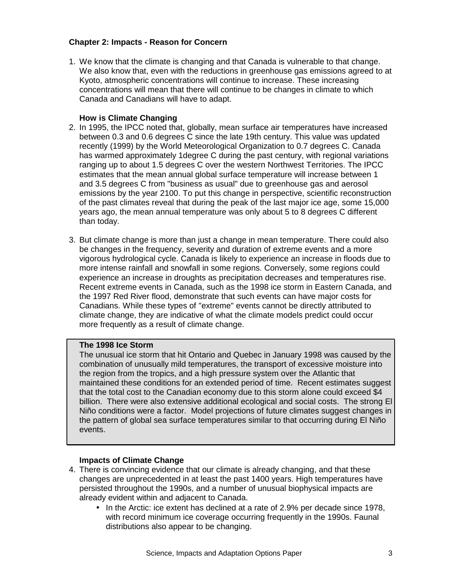# **Chapter 2: Impacts - Reason for Concern**

1. We know that the climate is changing and that Canada is vulnerable to that change. We also know that, even with the reductions in greenhouse gas emissions agreed to at Kyoto, atmospheric concentrations will continue to increase. These increasing concentrations will mean that there will continue to be changes in climate to which Canada and Canadians will have to adapt.

# **How is Climate Changing**

- 2. In 1995, the IPCC noted that, globally, mean surface air temperatures have increased between 0.3 and 0.6 degrees C since the late 19th century. This value was updated recently (1999) by the World Meteorological Organization to 0.7 degrees C. Canada has warmed approximately 1degree C during the past century, with regional variations ranging up to about 1.5 degrees C over the western Northwest Territories. The IPCC estimates that the mean annual global surface temperature will increase between 1 and 3.5 degrees C from "business as usual" due to greenhouse gas and aerosol emissions by the year 2100. To put this change in perspective, scientific reconstruction of the past climates reveal that during the peak of the last major ice age, some 15,000 years ago, the mean annual temperature was only about 5 to 8 degrees C different than today.
- 3. But climate change is more than just a change in mean temperature. There could also be changes in the frequency, severity and duration of extreme events and a more vigorous hydrological cycle. Canada is likely to experience an increase in floods due to more intense rainfall and snowfall in some regions. Conversely, some regions could experience an increase in droughts as precipitation decreases and temperatures rise. Recent extreme events in Canada, such as the 1998 ice storm in Eastern Canada, and the 1997 Red River flood, demonstrate that such events can have major costs for Canadians. While these types of "extreme" events cannot be directly attributed to climate change, they are indicative of what the climate models predict could occur more frequently as a result of climate change.

# **The 1998 Ice Storm**

The unusual ice storm that hit Ontario and Quebec in January 1998 was caused by the combination of unusually mild temperatures, the transport of excessive moisture into the region from the tropics, and a high pressure system over the Atlantic that maintained these conditions for an extended period of time. Recent estimates suggest that the total cost to the Canadian economy due to this storm alone could exceed \$4 billion. There were also extensive additional ecological and social costs. The strong El Niño conditions were a factor. Model projections of future climates suggest changes in the pattern of global sea surface temperatures similar to that occurring during El Niño events.

# **Impacts of Climate Change**

- 4. There is convincing evidence that our climate is already changing, and that these changes are unprecedented in at least the past 1400 years. High temperatures have persisted throughout the 1990s, and a number of unusual biophysical impacts are already evident within and adjacent to Canada.
	- In the Arctic: ice extent has declined at a rate of 2.9% per decade since 1978, with record minimum ice coverage occurring frequently in the 1990s. Faunal distributions also appear to be changing.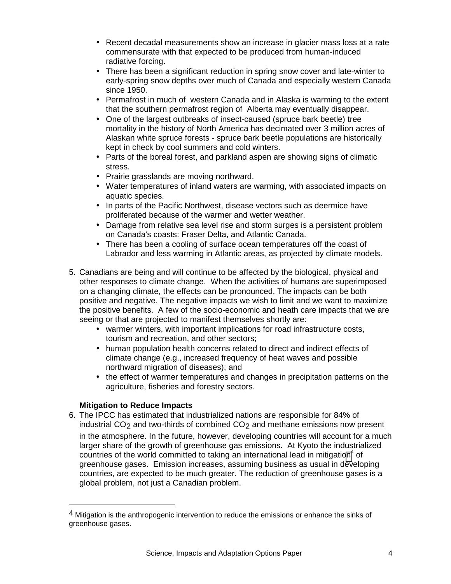- Recent decadal measurements show an increase in glacier mass loss at a rate commensurate with that expected to be produced from human-induced radiative forcing.
- There has been a significant reduction in spring snow cover and late-winter to early-spring snow depths over much of Canada and especially western Canada since 1950.
- Permafrost in much of western Canada and in Alaska is warming to the extent that the southern permafrost region of Alberta may eventually disappear.
- One of the largest outbreaks of insect-caused (spruce bark beetle) tree mortality in the history of North America has decimated over 3 million acres of Alaskan white spruce forests - spruce bark beetle populations are historically kept in check by cool summers and cold winters.
- Parts of the boreal forest, and parkland aspen are showing signs of climatic stress.
- Prairie grasslands are moving northward.
- Water temperatures of inland waters are warming, with associated impacts on aquatic species.
- In parts of the Pacific Northwest, disease vectors such as deermice have proliferated because of the warmer and wetter weather.
- Damage from relative sea level rise and storm surges is a persistent problem on Canada's coasts: Fraser Delta, and Atlantic Canada.
- There has been a cooling of surface ocean temperatures off the coast of Labrador and less warming in Atlantic areas, as projected by climate models.
- 5. Canadians are being and will continue to be affected by the biological, physical and other responses to climate change. When the activities of humans are superimposed on a changing climate, the effects can be pronounced. The impacts can be both positive and negative. The negative impacts we wish to limit and we want to maximize the positive benefits. A few of the socio-economic and heath care impacts that we are seeing or that are projected to manifest themselves shortly are:
	- warmer winters, with important implications for road infrastructure costs, tourism and recreation, and other sectors;
	- human population health concerns related to direct and indirect effects of climate change (e.g., increased frequency of heat waves and possible northward migration of diseases); and
	- the effect of warmer temperatures and changes in precipitation patterns on the agriculture, fisheries and forestry sectors.

# **Mitigation to Reduce Impacts**

<u>.</u>

6. The IPCC has estimated that industrialized nations are responsible for 84% of industrial  $CO<sub>2</sub>$  and two-thirds of combined  $CO<sub>2</sub>$  and methane emissions now present in the atmosphere. In the future, however, developing countries will account for a much larger share of the growth of greenhouse gas emissions. At Kyoto the industrialized countries of the world committed to taking an international lead in mitigation<sup>4</sup> of greenhouse gases. Emission increases, assuming business as usual in developing countries, are expected to be much greater. The reduction of greenhouse gases is a global problem, not just a Canadian problem.

 $4$  Mitigation is the anthropogenic intervention to reduce the emissions or enhance the sinks of greenhouse gases.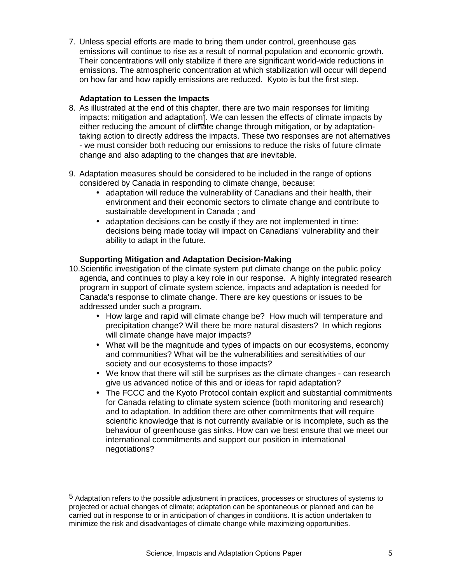7. Unless special efforts are made to bring them under control, greenhouse gas emissions will continue to rise as a result of normal population and economic growth. Their concentrations will only stabilize if there are significant world-wide reductions in emissions. The atmospheric concentration at which stabilization will occur will depend on how far and how rapidly emissions are reduced. Kyoto is but the first step.

## **Adaptation to Lessen the Impacts**

1

- 8. As illustrated at the end of this chapter, there are two main responses for limiting impacts: mitigation and adaptation<sup>5</sup>. We can lessen the effects of climate impacts by either reducing the amount of climate change through mitigation, or by adaptationtaking action to directly address the impacts. These two responses are not alternatives - we must consider both reducing our emissions to reduce the risks of future climate change and also adapting to the changes that are inevitable.
- 9. Adaptation measures should be considered to be included in the range of options considered by Canada in responding to climate change, because:
	- adaptation will reduce the vulnerability of Canadians and their health, their environment and their economic sectors to climate change and contribute to sustainable development in Canada ; and
	- adaptation decisions can be costly if they are not implemented in time: decisions being made today will impact on Canadians' vulnerability and their ability to adapt in the future.

# **Supporting Mitigation and Adaptation Decision-Making**

- 10. Scientific investigation of the climate system put climate change on the public policy agenda, and continues to play a key role in our response. A highly integrated research program in support of climate system science, impacts and adaptation is needed for Canada's response to climate change. There are key questions or issues to be addressed under such a program.
	- How large and rapid will climate change be? How much will temperature and precipitation change? Will there be more natural disasters? In which regions will climate change have major impacts?
	- What will be the magnitude and types of impacts on our ecosystems, economy and communities? What will be the vulnerabilities and sensitivities of our society and our ecosystems to those impacts?
	- We know that there will still be surprises as the climate changes can research give us advanced notice of this and or ideas for rapid adaptation?
	- The FCCC and the Kyoto Protocol contain explicit and substantial commitments for Canada relating to climate system science (both monitoring and research) and to adaptation. In addition there are other commitments that will require scientific knowledge that is not currently available or is incomplete, such as the behaviour of greenhouse gas sinks. How can we best ensure that we meet our international commitments and support our position in international negotiations?

<sup>5</sup> Adaptation refers to the possible adjustment in practices, processes or structures of systems to projected or actual changes of climate; adaptation can be spontaneous or planned and can be carried out in response to or in anticipation of changes in conditions. It is action undertaken to minimize the risk and disadvantages of climate change while maximizing opportunities.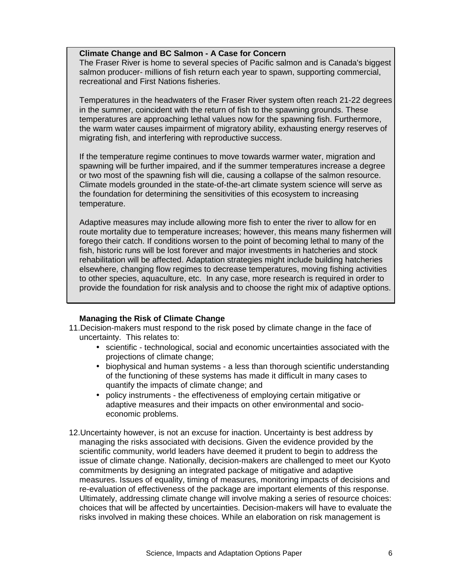#### **Climate Change and BC Salmon - A Case for Concern**

The Fraser River is home to several species of Pacific salmon and is Canada's biggest salmon producer- millions of fish return each year to spawn, supporting commercial, recreational and First Nations fisheries.

Temperatures in the headwaters of the Fraser River system often reach 21-22 degrees in the summer, coincident with the return of fish to the spawning grounds. These temperatures are approaching lethal values now for the spawning fish. Furthermore, the warm water causes impairment of migratory ability, exhausting energy reserves of migrating fish, and interfering with reproductive success.

If the temperature regime continues to move towards warmer water, migration and spawning will be further impaired, and if the summer temperatures increase a degree or two most of the spawning fish will die, causing a collapse of the salmon resource. Climate models grounded in the state-of-the-art climate system science will serve as the foundation for determining the sensitivities of this ecosystem to increasing temperature.

Adaptive measures may include allowing more fish to enter the river to allow for en route mortality due to temperature increases; however, this means many fishermen will forego their catch. If conditions worsen to the point of becoming lethal to many of the fish, historic runs will be lost forever and major investments in hatcheries and stock rehabilitation will be affected. Adaptation strategies might include building hatcheries elsewhere, changing flow regimes to decrease temperatures, moving fishing activities to other species, aquaculture, etc. In any case, more research is required in order to provide the foundation for risk analysis and to choose the right mix of adaptive options.

# **Managing the Risk of Climate Change**

- 11. Decision-makers must respond to the risk posed by climate change in the face of uncertainty. This relates to:
	- scientific technological, social and economic uncertainties associated with the projections of climate change;
	- biophysical and human systems a less than thorough scientific understanding of the functioning of these systems has made it difficult in many cases to quantify the impacts of climate change; and
	- policy instruments the effectiveness of employing certain mitigative or adaptive measures and their impacts on other environmental and socioeconomic problems.
- 12. Uncertainty however, is not an excuse for inaction. Uncertainty is best address by managing the risks associated with decisions. Given the evidence provided by the scientific community, world leaders have deemed it prudent to begin to address the issue of climate change. Nationally, decision-makers are challenged to meet our Kyoto commitments by designing an integrated package of mitigative and adaptive measures. Issues of equality, timing of measures, monitoring impacts of decisions and re-evaluation of effectiveness of the package are important elements of this response. Ultimately, addressing climate change will involve making a series of resource choices: choices that will be affected by uncertainties. Decision-makers will have to evaluate the risks involved in making these choices. While an elaboration on risk management is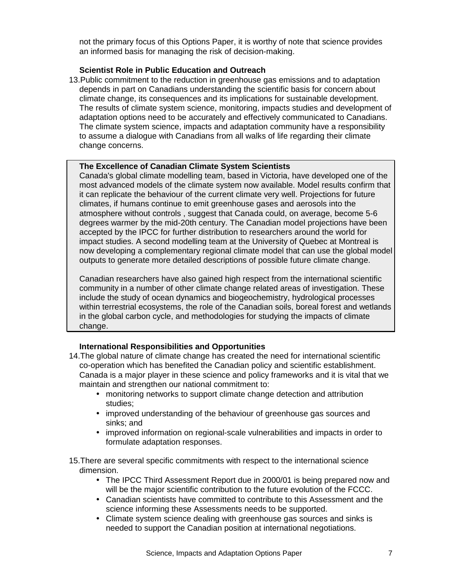not the primary focus of this Options Paper, it is worthy of note that science provides an informed basis for managing the risk of decision-making.

## **Scientist Role in Public Education and Outreach**

13. Public commitment to the reduction in greenhouse gas emissions and to adaptation depends in part on Canadians understanding the scientific basis for concern about climate change, its consequences and its implications for sustainable development. The results of climate system science, monitoring, impacts studies and development of adaptation options need to be accurately and effectively communicated to Canadians. The climate system science, impacts and adaptation community have a responsibility to assume a dialogue with Canadians from all walks of life regarding their climate change concerns.

### **The Excellence of Canadian Climate System Scientists**

Canada's global climate modelling team, based in Victoria, have developed one of the most advanced models of the climate system now available. Model results confirm that it can replicate the behaviour of the current climate very well. Projections for future climates, if humans continue to emit greenhouse gases and aerosols into the atmosphere without controls , suggest that Canada could, on average, become 5-6 degrees warmer by the mid-20th century. The Canadian model projections have been accepted by the IPCC for further distribution to researchers around the world for impact studies. A second modelling team at the University of Quebec at Montreal is now developing a complementary regional climate model that can use the global model outputs to generate more detailed descriptions of possible future climate change.

Canadian researchers have also gained high respect from the international scientific community in a number of other climate change related areas of investigation. These include the study of ocean dynamics and biogeochemistry, hydrological processes within terrestrial ecosystems, the role of the Canadian soils, boreal forest and wetlands in the global carbon cycle, and methodologies for studying the impacts of climate change.

# **International Responsibilities and Opportunities**

- 14. The global nature of climate change has created the need for international scientific co-operation which has benefited the Canadian policy and scientific establishment. Canada is a major player in these science and policy frameworks and it is vital that we maintain and strengthen our national commitment to:
	- monitoring networks to support climate change detection and attribution studies;
	- improved understanding of the behaviour of greenhouse gas sources and sinks; and
	- improved information on regional-scale vulnerabilities and impacts in order to formulate adaptation responses.
- 15. There are several specific commitments with respect to the international science dimension.
	- The IPCC Third Assessment Report due in 2000/01 is being prepared now and will be the major scientific contribution to the future evolution of the FCCC.
	- Canadian scientists have committed to contribute to this Assessment and the science informing these Assessments needs to be supported.
	- Climate system science dealing with greenhouse gas sources and sinks is needed to support the Canadian position at international negotiations.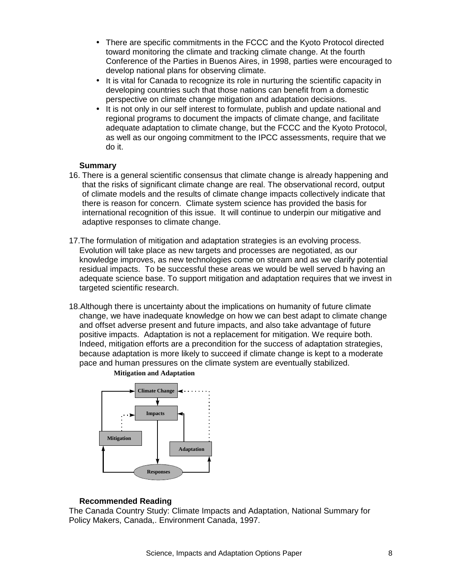- There are specific commitments in the FCCC and the Kyoto Protocol directed toward monitoring the climate and tracking climate change. At the fourth Conference of the Parties in Buenos Aires, in 1998, parties were encouraged to develop national plans for observing climate.
- It is vital for Canada to recognize its role in nurturing the scientific capacity in developing countries such that those nations can benefit from a domestic perspective on climate change mitigation and adaptation decisions.
- It is not only in our self interest to formulate, publish and update national and regional programs to document the impacts of climate change, and facilitate adequate adaptation to climate change, but the FCCC and the Kyoto Protocol, as well as our ongoing commitment to the IPCC assessments, require that we do it.

#### **Summary**

- 16. There is a general scientific consensus that climate change is already happening and that the risks of significant climate change are real. The observational record, output of climate models and the results of climate change impacts collectively indicate that there is reason for concern. Climate system science has provided the basis for international recognition of this issue. It will continue to underpin our mitigative and adaptive responses to climate change.
- 17. The formulation of mitigation and adaptation strategies is an evolving process. Evolution will take place as new targets and processes are negotiated, as our knowledge improves, as new technologies come on stream and as we clarify potential residual impacts. To be successful these areas we would be well served b having an adequate science base. To support mitigation and adaptation requires that we invest in targeted scientific research.
- 18. Although there is uncertainty about the implications on humanity of future climate change, we have inadequate knowledge on how we can best adapt to climate change and offset adverse present and future impacts, and also take advantage of future positive impacts. Adaptation is not a replacement for mitigation. We require both. Indeed, mitigation efforts are a precondition for the success of adaptation strategies, because adaptation is more likely to succeed if climate change is kept to a moderate pace and human pressures on the climate system are eventually stabilized.



**Mitigation and Adaptation**

# **Recommended Reading**

The Canada Country Study: Climate Impacts and Adaptation, National Summary for Policy Makers, Canada,. Environment Canada, 1997.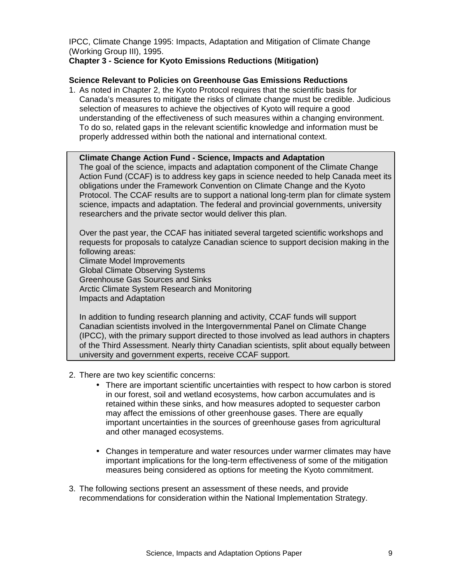IPCC, Climate Change 1995: Impacts, Adaptation and Mitigation of Climate Change (Working Group III), 1995.

# **Chapter 3 - Science for Kyoto Emissions Reductions (Mitigation)**

#### **Science Relevant to Policies on Greenhouse Gas Emissions Reductions**

1. As noted in Chapter 2, the Kyoto Protocol requires that the scientific basis for Canada's measures to mitigate the risks of climate change must be credible. Judicious selection of measures to achieve the objectives of Kyoto will require a good understanding of the effectiveness of such measures within a changing environment. To do so, related gaps in the relevant scientific knowledge and information must be properly addressed within both the national and international context.

#### **Climate Change Action Fund - Science, Impacts and Adaptation**

The goal of the science, impacts and adaptation component of the Climate Change Action Fund (CCAF) is to address key gaps in science needed to help Canada meet its obligations under the Framework Convention on Climate Change and the Kyoto Protocol. The CCAF results are to support a national long-term plan for climate system science, impacts and adaptation. The federal and provincial governments, university researchers and the private sector would deliver this plan.

Over the past year, the CCAF has initiated several targeted scientific workshops and requests for proposals to catalyze Canadian science to support decision making in the following areas:

Climate Model Improvements

Global Climate Observing Systems

Greenhouse Gas Sources and Sinks

Arctic Climate System Research and Monitoring

Impacts and Adaptation

In addition to funding research planning and activity, CCAF funds will support Canadian scientists involved in the Intergovernmental Panel on Climate Change (IPCC), with the primary support directed to those involved as lead authors in chapters of the Third Assessment. Nearly thirty Canadian scientists, split about equally between university and government experts, receive CCAF support.

- 2. There are two key scientific concerns:
	- There are important scientific uncertainties with respect to how carbon is stored in our forest, soil and wetland ecosystems, how carbon accumulates and is retained within these sinks, and how measures adopted to sequester carbon may affect the emissions of other greenhouse gases. There are equally important uncertainties in the sources of greenhouse gases from agricultural and other managed ecosystems.
	- Changes in temperature and water resources under warmer climates may have important implications for the long-term effectiveness of some of the mitigation measures being considered as options for meeting the Kyoto commitment.
- 3. The following sections present an assessment of these needs, and provide recommendations for consideration within the National Implementation Strategy.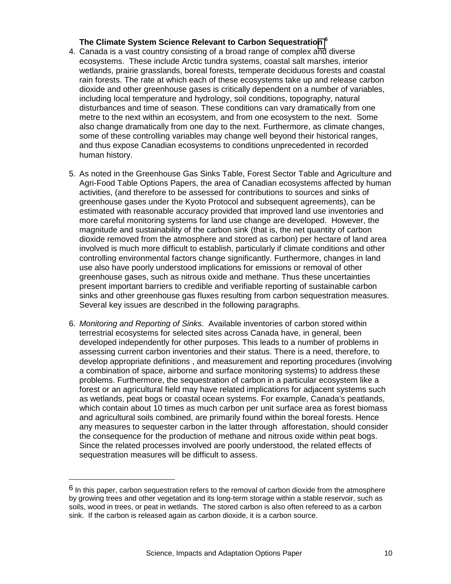## **The Climate System Science Relevant to Carbon Sequestration <sup>6</sup>**

- 4. Canada is a vast country consisting of a broad range of complex and diverse ecosystems. These include Arctic tundra systems, coastal salt marshes, interior wetlands, prairie grasslands, boreal forests, temperate deciduous forests and coastal rain forests. The rate at which each of these ecosystems take up and release carbon dioxide and other greenhouse gases is critically dependent on a number of variables, including local temperature and hydrology, soil conditions, topography, natural disturbances and time of season. These conditions can vary dramatically from one metre to the next within an ecosystem, and from one ecosystem to the next. Some also change dramatically from one day to the next. Furthermore, as climate changes, some of these controlling variables may change well beyond their historical ranges, and thus expose Canadian ecosystems to conditions unprecedented in recorded human history.
- 5. As noted in the Greenhouse Gas Sinks Table, Forest Sector Table and Agriculture and Agri-Food Table Options Papers, the area of Canadian ecosystems affected by human activities, (and therefore to be assessed for contributions to sources and sinks of greenhouse gases under the Kyoto Protocol and subsequent agreements), can be estimated with reasonable accuracy provided that improved land use inventories and more careful monitoring systems for land use change are developed. However, the magnitude and sustainability of the carbon sink (that is, the net quantity of carbon dioxide removed from the atmosphere and stored as carbon) per hectare of land area involved is much more difficult to establish, particularly if climate conditions and other controlling environmental factors change significantly. Furthermore, changes in land use also have poorly understood implications for emissions or removal of other greenhouse gases, such as nitrous oxide and methane. Thus these uncertainties present important barriers to credible and verifiable reporting of sustainable carbon sinks and other greenhouse gas fluxes resulting from carbon sequestration measures. Several key issues are described in the following paragraphs.
- 6. *Monitoring and Reporting of Sinks*. Available inventories of carbon stored within terrestrial ecosystems for selected sites across Canada have, in general, been developed independently for other purposes. This leads to a number of problems in assessing current carbon inventories and their status. There is a need, therefore, to develop appropriate definitions , and measurement and reporting procedures (involving a combination of space, airborne and surface monitoring systems) to address these problems. Furthermore, the sequestration of carbon in a particular ecosystem like a forest or an agricultural field may have related implications for adjacent systems such as wetlands, peat bogs or coastal ocean systems. For example, Canada's peatlands, which contain about 10 times as much carbon per unit surface area as forest biomass and agricultural soils combined, are primarily found within the boreal forests. Hence any measures to sequester carbon in the latter through afforestation, should consider the consequence for the production of methane and nitrous oxide within peat bogs. Since the related processes involved are poorly understood, the related effects of sequestration measures will be difficult to assess.

1

 $6$  In this paper, carbon sequestration refers to the removal of carbon dioxide from the atmosphere by growing trees and other vegetation and its long-term storage within a stable reservoir, such as soils, wood in trees, or peat in wetlands. The stored carbon is also often refereed to as a carbon sink. If the carbon is released again as carbon dioxide, it is a carbon source.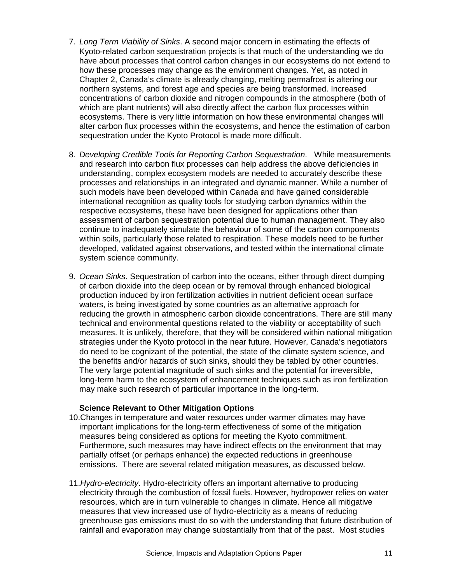- 7. *Long Term Viability of Sinks*. A second major concern in estimating the effects of Kyoto-related carbon sequestration projects is that much of the understanding we do have about processes that control carbon changes in our ecosystems do not extend to how these processes may change as the environment changes. Yet, as noted in Chapter 2, Canada's climate is already changing, melting permafrost is altering our northern systems, and forest age and species are being transformed. Increased concentrations of carbon dioxide and nitrogen compounds in the atmosphere (both of which are plant nutrients) will also directly affect the carbon flux processes within ecosystems. There is very little information on how these environmental changes will alter carbon flux processes within the ecosystems, and hence the estimation of carbon sequestration under the Kyoto Protocol is made more difficult.
- 8. *Developing Credible Tools for Reporting Carbon Sequestration*. While measurements and research into carbon flux processes can help address the above deficiencies in understanding, complex ecosystem models are needed to accurately describe these processes and relationships in an integrated and dynamic manner. While a number of such models have been developed within Canada and have gained considerable international recognition as quality tools for studying carbon dynamics within the respective ecosystems, these have been designed for applications other than assessment of carbon sequestration potential due to human management. They also continue to inadequately simulate the behaviour of some of the carbon components within soils, particularly those related to respiration. These models need to be further developed, validated against observations, and tested within the international climate system science community.
- 9. *Ocean Sinks*. Sequestration of carbon into the oceans, either through direct dumping of carbon dioxide into the deep ocean or by removal through enhanced biological production induced by iron fertilization activities in nutrient deficient ocean surface waters, is being investigated by some countries as an alternative approach for reducing the growth in atmospheric carbon dioxide concentrations. There are still many technical and environmental questions related to the viability or acceptability of such measures. It is unlikely, therefore, that they will be considered within national mitigation strategies under the Kyoto protocol in the near future. However, Canada's negotiators do need to be cognizant of the potential, the state of the climate system science, and the benefits and/or hazards of such sinks, should they be tabled by other countries. The very large potential magnitude of such sinks and the potential for irreversible, long-term harm to the ecosystem of enhancement techniques such as iron fertilization may make such research of particular importance in the long-term.

#### **Science Relevant to Other Mitigation Options**

- 10. Changes in temperature and water resources under warmer climates may have important implications for the long-term effectiveness of some of the mitigation measures being considered as options for meeting the Kyoto commitment. Furthermore, such measures may have indirect effects on the environment that may partially offset (or perhaps enhance) the expected reductions in greenhouse emissions. There are several related mitigation measures, as discussed below.
- 11. *Hydro-electricity*. Hydro-electricity offers an important alternative to producing electricity through the combustion of fossil fuels. However, hydropower relies on water resources, which are in turn vulnerable to changes in climate. Hence all mitigative measures that view increased use of hydro-electricity as a means of reducing greenhouse gas emissions must do so with the understanding that future distribution of rainfall and evaporation may change substantially from that of the past. Most studies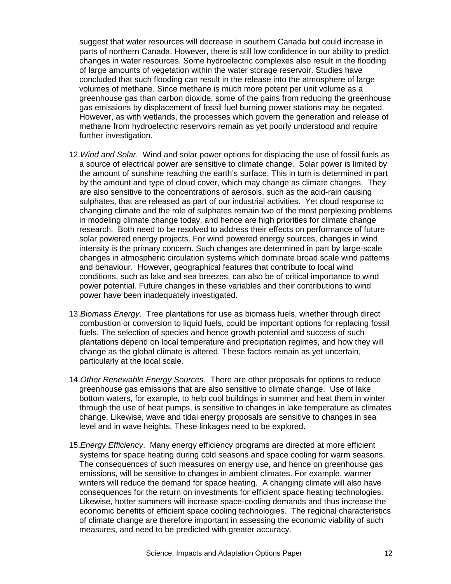suggest that water resources will decrease in southern Canada but could increase in parts of northern Canada. However, there is still low confidence in our ability to predict changes in water resources. Some hydroelectric complexes also result in the flooding of large amounts of vegetation within the water storage reservoir. Studies have concluded that such flooding can result in the release into the atmosphere of large volumes of methane. Since methane is much more potent per unit volume as a greenhouse gas than carbon dioxide, some of the gains from reducing the greenhouse gas emissions by displacement of fossil fuel burning power stations may be negated. However, as with wetlands, the processes which govern the generation and release of methane from hydroelectric reservoirs remain as yet poorly understood and require further investigation.

- 12. *Wind and Solar*. Wind and solar power options for displacing the use of fossil fuels as a source of electrical power are sensitive to climate change. Solar power is limited by the amount of sunshine reaching the earth's surface. This in turn is determined in part by the amount and type of cloud cover, which may change as climate changes. They are also sensitive to the concentrations of aerosols, such as the acid-rain causing sulphates, that are released as part of our industrial activities. Yet cloud response to changing climate and the role of sulphates remain two of the most perplexing problems in modeling climate change today, and hence are high priorities for climate change research. Both need to be resolved to address their effects on performance of future solar powered energy projects. For wind powered energy sources, changes in wind intensity is the primary concern. Such changes are determined in part by large-scale changes in atmospheric circulation systems which dominate broad scale wind patterns and behaviour. However, geographical features that contribute to local wind conditions, such as lake and sea breezes, can also be of critical importance to wind power potential. Future changes in these variables and their contributions to wind power have been inadequately investigated.
- 13. *Biomass Energy*. Tree plantations for use as biomass fuels, whether through direct combustion or conversion to liquid fuels, could be important options for replacing fossil fuels. The selection of species and hence growth potential and success of such plantations depend on local temperature and precipitation regimes, and how they will change as the global climate is altered. These factors remain as yet uncertain, particularly at the local scale.
- 14. *Other Renewable Energy Sources*. There are other proposals for options to reduce greenhouse gas emissions that are also sensitive to climate change. Use of lake bottom waters, for example, to help cool buildings in summer and heat them in winter through the use of heat pumps, is sensitive to changes in lake temperature as climates change. Likewise, wave and tidal energy proposals are sensitive to changes in sea level and in wave heights. These linkages need to be explored.
- 15. *Energy Efficiency*. Many energy efficiency programs are directed at more efficient systems for space heating during cold seasons and space cooling for warm seasons. The consequences of such measures on energy use, and hence on greenhouse gas emissions, will be sensitive to changes in ambient climates. For example, warmer winters will reduce the demand for space heating. A changing climate will also have consequences for the return on investments for efficient space heating technologies. Likewise, hotter summers will increase space-cooling demands and thus increase the economic benefits of efficient space cooling technologies. The regional characteristics of climate change are therefore important in assessing the economic viability of such measures, and need to be predicted with greater accuracy.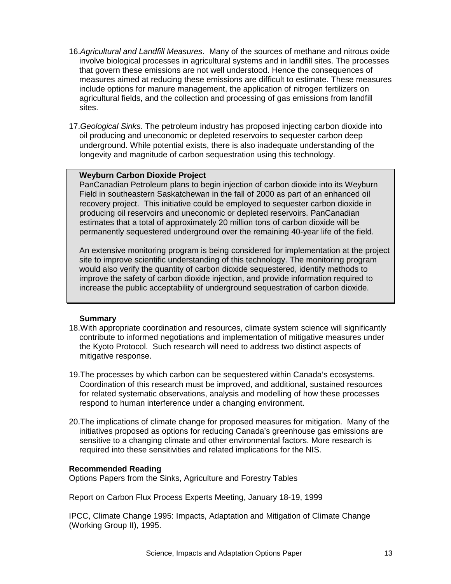- 16. *Agricultural and Landfill Measures*. Many of the sources of methane and nitrous oxide involve biological processes in agricultural systems and in landfill sites. The processes that govern these emissions are not well understood. Hence the consequences of measures aimed at reducing these emissions are difficult to estimate. These measures include options for manure management, the application of nitrogen fertilizers on agricultural fields, and the collection and processing of gas emissions from landfill sites.
- 17. *Geological Sinks*. The petroleum industry has proposed injecting carbon dioxide into oil producing and uneconomic or depleted reservoirs to sequester carbon deep underground. While potential exists, there is also inadequate understanding of the longevity and magnitude of carbon sequestration using this technology.

### **Weyburn Carbon Dioxide Project**

PanCanadian Petroleum plans to begin injection of carbon dioxide into its Weyburn Field in southeastern Saskatchewan in the fall of 2000 as part of an enhanced oil recovery project. This initiative could be employed to sequester carbon dioxide in producing oil reservoirs and uneconomic or depleted reservoirs. PanCanadian estimates that a total of approximately 20 million tons of carbon dioxide will be permanently sequestered underground over the remaining 40-year life of the field.

An extensive monitoring program is being considered for implementation at the project site to improve scientific understanding of this technology. The monitoring program would also verify the quantity of carbon dioxide sequestered, identify methods to improve the safety of carbon dioxide injection, and provide information required to increase the public acceptability of underground sequestration of carbon dioxide.

#### **Summary**

- 18. With appropriate coordination and resources, climate system science will significantly contribute to informed negotiations and implementation of mitigative measures under the Kyoto Protocol. Such research will need to address two distinct aspects of mitigative response.
- 19. The processes by which carbon can be sequestered within Canada's ecosystems. Coordination of this research must be improved, and additional, sustained resources for related systematic observations, analysis and modelling of how these processes respond to human interference under a changing environment.
- 20. The implications of climate change for proposed measures for mitigation. Many of the initiatives proposed as options for reducing Canada's greenhouse gas emissions are sensitive to a changing climate and other environmental factors. More research is required into these sensitivities and related implications for the NIS.

#### **Recommended Reading**

Options Papers from the Sinks, Agriculture and Forestry Tables

Report on Carbon Flux Process Experts Meeting, January 18-19, 1999

IPCC, Climate Change 1995: Impacts, Adaptation and Mitigation of Climate Change (Working Group II), 1995.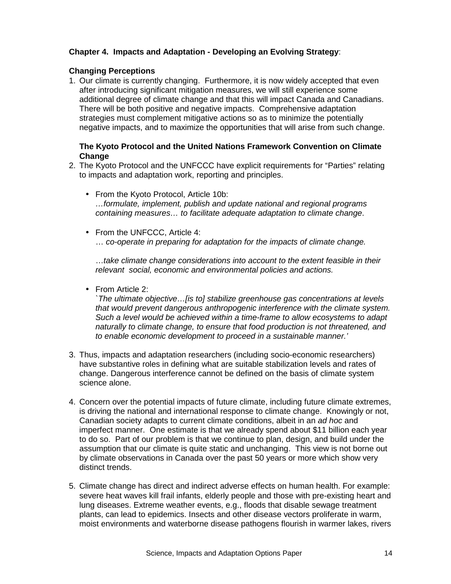# **Chapter 4. Impacts and Adaptation - Developing an Evolving Strategy**:

# **Changing Perceptions**

1. Our climate is currently changing. Furthermore, it is now widely accepted that even after introducing significant mitigation measures, we will still experience some additional degree of climate change and that this will impact Canada and Canadians. There will be both positive and negative impacts. Comprehensive adaptation strategies must complement mitigative actions so as to minimize the potentially negative impacts, and to maximize the opportunities that will arise from such change.

## **The Kyoto Protocol and the United Nations Framework Convention on Climate Change**

- 2. The Kyoto Protocol and the UNFCCC have explicit requirements for "Parties" relating to impacts and adaptation work, reporting and principles.
	- From the Kyoto Protocol, Article 10b: *…formulate, implement, publish and update national and regional programs containing measures… to facilitate adequate adaptation to climate change*.
	- From the UNFCCC, Article 4: … *co-operate in preparing for adaptation for the impacts of climate change.*

…*take climate change considerations into account to the extent feasible in their relevant social, economic and environmental policies and actions.*

• From Article 2:

*`The ultimate objective…[is to] stabilize greenhouse gas concentrations at levels that would prevent dangerous anthropogenic interference with the climate system. Such a level would be achieved within a time-frame to allow ecosystems to adapt naturally to climate change, to ensure that food production is not threatened, and to enable economic development to proceed in a sustainable manner.'*

- 3. Thus, impacts and adaptation researchers (including socio-economic researchers) have substantive roles in defining what are suitable stabilization levels and rates of change. Dangerous interference cannot be defined on the basis of climate system science alone.
- 4. Concern over the potential impacts of future climate, including future climate extremes, is driving the national and international response to climate change. Knowingly or not, Canadian society adapts to current climate conditions, albeit in an *ad hoc* and imperfect manner. One estimate is that we already spend about \$11 billion each year to do so. Part of our problem is that we continue to plan, design, and build under the assumption that our climate is quite static and unchanging. This view is not borne out by climate observations in Canada over the past 50 years or more which show very distinct trends.
- 5. Climate change has direct and indirect adverse effects on human health. For example: severe heat waves kill frail infants, elderly people and those with pre-existing heart and lung diseases. Extreme weather events, e.g., floods that disable sewage treatment plants, can lead to epidemics. Insects and other disease vectors proliferate in warm, moist environments and waterborne disease pathogens flourish in warmer lakes, rivers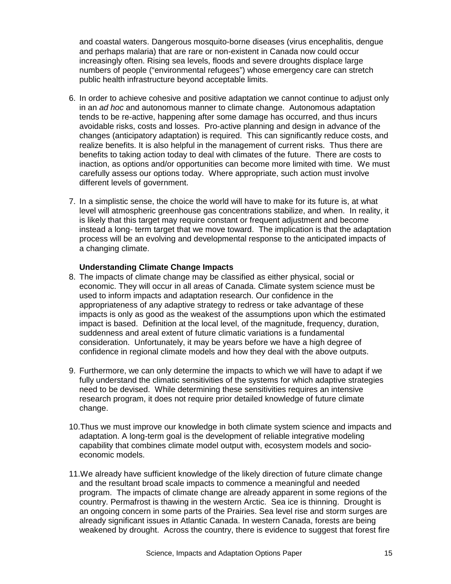and coastal waters. Dangerous mosquito-borne diseases (virus encephalitis, dengue and perhaps malaria) that are rare or non-existent in Canada now could occur increasingly often. Rising sea levels, floods and severe droughts displace large numbers of people ("environmental refugees") whose emergency care can stretch public health infrastructure beyond acceptable limits.

- 6. In order to achieve cohesive and positive adaptation we cannot continue to adjust only in an *ad hoc* and autonomous manner to climate change. Autonomous adaptation tends to be re-active, happening after some damage has occurred, and thus incurs avoidable risks, costs and losses. Pro-active planning and design in advance of the changes (anticipatory adaptation) is required. This can significantly reduce costs, and realize benefits. It is also helpful in the management of current risks. Thus there are benefits to taking action today to deal with climates of the future. There are costs to inaction, as options and/or opportunities can become more limited with time. We must carefully assess our options today. Where appropriate, such action must involve different levels of government.
- 7. In a simplistic sense, the choice the world will have to make for its future is, at what level will atmospheric greenhouse gas concentrations stabilize, and when. In reality, it is likely that this target may require constant or frequent adjustment and become instead a long- term target that we move toward. The implication is that the adaptation process will be an evolving and developmental response to the anticipated impacts of a changing climate.

#### **Understanding Climate Change Impacts**

- 8. The impacts of climate change may be classified as either physical, social or economic. They will occur in all areas of Canada. Climate system science must be used to inform impacts and adaptation research. Our confidence in the appropriateness of any adaptive strategy to redress or take advantage of these impacts is only as good as the weakest of the assumptions upon which the estimated impact is based. Definition at the local level, of the magnitude, frequency, duration, suddenness and areal extent of future climatic variations is a fundamental consideration. Unfortunately, it may be years before we have a high degree of confidence in regional climate models and how they deal with the above outputs.
- 9. Furthermore, we can only determine the impacts to which we will have to adapt if we fully understand the climatic sensitivities of the systems for which adaptive strategies need to be devised. While determining these sensitivities requires an intensive research program, it does not require prior detailed knowledge of future climate change.
- 10. Thus we must improve our knowledge in both climate system science and impacts and adaptation. A long-term goal is the development of reliable integrative modeling capability that combines climate model output with, ecosystem models and socioeconomic models.
- 11. We already have sufficient knowledge of the likely direction of future climate change and the resultant broad scale impacts to commence a meaningful and needed program. The impacts of climate change are already apparent in some regions of the country. Permafrost is thawing in the western Arctic. Sea ice is thinning. Drought is an ongoing concern in some parts of the Prairies. Sea level rise and storm surges are already significant issues in Atlantic Canada. In western Canada, forests are being weakened by drought. Across the country, there is evidence to suggest that forest fire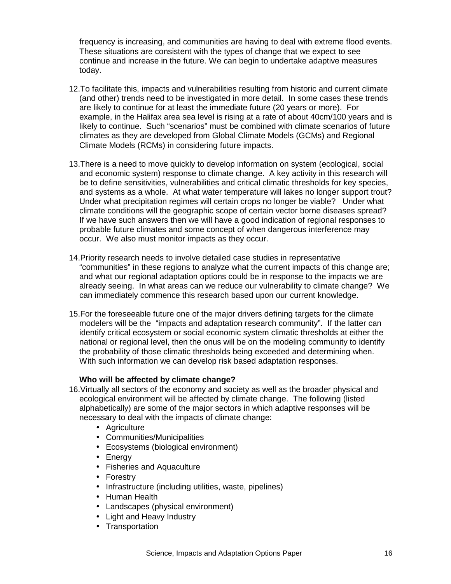frequency is increasing, and communities are having to deal with extreme flood events. These situations are consistent with the types of change that we expect to see continue and increase in the future. We can begin to undertake adaptive measures today.

- 12. To facilitate this, impacts and vulnerabilities resulting from historic and current climate (and other) trends need to be investigated in more detail. In some cases these trends are likely to continue for at least the immediate future (20 years or more). For example, in the Halifax area sea level is rising at a rate of about 40cm/100 years and is likely to continue. Such "scenarios" must be combined with climate scenarios of future climates as they are developed from Global Climate Models (GCMs) and Regional Climate Models (RCMs) in considering future impacts.
- 13. There is a need to move quickly to develop information on system (ecological, social and economic system) response to climate change. A key activity in this research will be to define sensitivities, vulnerabilities and critical climatic thresholds for key species, and systems as a whole. At what water temperature will lakes no longer support trout? Under what precipitation regimes will certain crops no longer be viable? Under what climate conditions will the geographic scope of certain vector borne diseases spread? If we have such answers then we will have a good indication of regional responses to probable future climates and some concept of when dangerous interference may occur. We also must monitor impacts as they occur.
- 14. Priority research needs to involve detailed case studies in representative "communities" in these regions to analyze what the current impacts of this change are; and what our regional adaptation options could be in response to the impacts we are already seeing. In what areas can we reduce our vulnerability to climate change? We can immediately commence this research based upon our current knowledge.
- 15. For the foreseeable future one of the major drivers defining targets for the climate modelers will be the "impacts and adaptation research community". If the latter can identify critical ecosystem or social economic system climatic thresholds at either the national or regional level, then the onus will be on the modeling community to identify the probability of those climatic thresholds being exceeded and determining when. With such information we can develop risk based adaptation responses.

#### **Who will be affected by climate change?**

- 16. Virtually all sectors of the economy and society as well as the broader physical and ecological environment will be affected by climate change. The following (listed alphabetically) are some of the major sectors in which adaptive responses will be necessary to deal with the impacts of climate change:
	- Agriculture
	- Communities/Municipalities
	- Ecosystems (biological environment)
	- Energy
	- Fisheries and Aquaculture
	- Forestry
	- Infrastructure (including utilities, waste, pipelines)
	- Human Health
	- Landscapes (physical environment)
	- Light and Heavy Industry
	- Transportation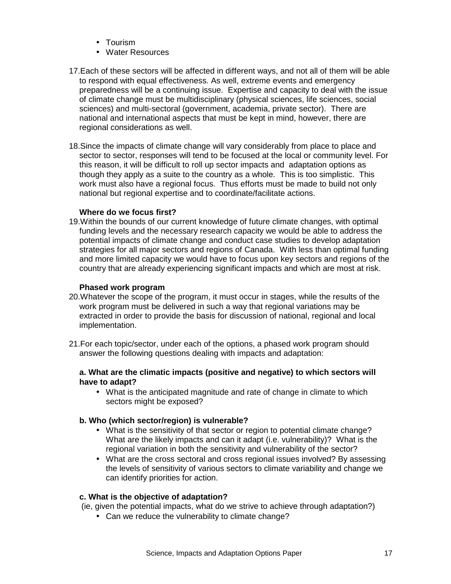- Tourism
- Water Resources
- 17. Each of these sectors will be affected in different ways, and not all of them will be able to respond with equal effectiveness. As well, extreme events and emergency preparedness will be a continuing issue. Expertise and capacity to deal with the issue of climate change must be multidisciplinary (physical sciences, life sciences, social sciences) and multi-sectoral (government, academia, private sector). There are national and international aspects that must be kept in mind, however, there are regional considerations as well.
- 18. Since the impacts of climate change will vary considerably from place to place and sector to sector, responses will tend to be focused at the local or community level. For this reason, it will be difficult to roll up sector impacts and adaptation options as though they apply as a suite to the country as a whole. This is too simplistic. This work must also have a regional focus. Thus efforts must be made to build not only national but regional expertise and to coordinate/facilitate actions.

#### **Where do we focus first?**

19. Within the bounds of our current knowledge of future climate changes, with optimal funding levels and the necessary research capacity we would be able to address the potential impacts of climate change and conduct case studies to develop adaptation strategies for all major sectors and regions of Canada. With less than optimal funding and more limited capacity we would have to focus upon key sectors and regions of the country that are already experiencing significant impacts and which are most at risk.

## **Phased work program**

- 20. Whatever the scope of the program, it must occur in stages, while the results of the work program must be delivered in such a way that regional variations may be extracted in order to provide the basis for discussion of national, regional and local implementation.
- 21. For each topic/sector, under each of the options, a phased work program should answer the following questions dealing with impacts and adaptation:

#### **a. What are the climatic impacts (positive and negative) to which sectors will have to adapt?**

• What is the anticipated magnitude and rate of change in climate to which sectors might be exposed?

#### **b. Who (which sector/region) is vulnerable?**

- What is the sensitivity of that sector or region to potential climate change? What are the likely impacts and can it adapt (i.e. vulnerability)? What is the regional variation in both the sensitivity and vulnerability of the sector?
- What are the cross sectoral and cross regional issues involved? By assessing the levels of sensitivity of various sectors to climate variability and change we can identify priorities for action.

#### **c. What is the objective of adaptation?**

(ie, given the potential impacts, what do we strive to achieve through adaptation?)

• Can we reduce the vulnerability to climate change?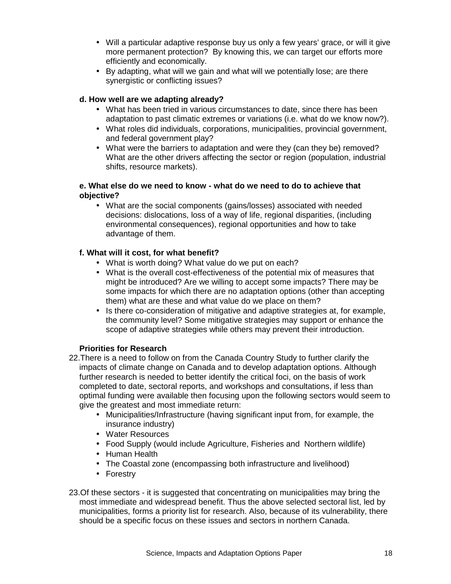- Will a particular adaptive response buy us only a few years' grace, or will it give more permanent protection? By knowing this, we can target our efforts more efficiently and economically.
- By adapting, what will we gain and what will we potentially lose; are there synergistic or conflicting issues?

# **d. How well are we adapting already?**

- What has been tried in various circumstances to date, since there has been adaptation to past climatic extremes or variations (i.e. what do we know now?).
- What roles did individuals, corporations, municipalities, provincial government, and federal government play?
- What were the barriers to adaptation and were they (can they be) removed? What are the other drivers affecting the sector or region (population, industrial shifts, resource markets).

# **e. What else do we need to know - what do we need to do to achieve that objective?**

• What are the social components (gains/losses) associated with needed decisions: dislocations, loss of a way of life, regional disparities, (including environmental consequences), regional opportunities and how to take advantage of them.

# **f. What will it cost, for what benefit?**

- What is worth doing? What value do we put on each?
- What is the overall cost-effectiveness of the potential mix of measures that might be introduced? Are we willing to accept some impacts? There may be some impacts for which there are no adaptation options (other than accepting them) what are these and what value do we place on them?
- Is there co-consideration of mitigative and adaptive strategies at, for example, the community level? Some mitigative strategies may support or enhance the scope of adaptive strategies while others may prevent their introduction.

# **Priorities for Research**

- 22. There is a need to follow on from the Canada Country Study to further clarify the impacts of climate change on Canada and to develop adaptation options. Although further research is needed to better identify the critical foci, on the basis of work completed to date, sectoral reports, and workshops and consultations, if less than optimal funding were available then focusing upon the following sectors would seem to give the greatest and most immediate return:
	- Municipalities/Infrastructure (having significant input from, for example, the insurance industry)
	- Water Resources
	- Food Supply (would include Agriculture, Fisheries and Northern wildlife)
	- Human Health
	- The Coastal zone (encompassing both infrastructure and livelihood)
	- Forestry
- 23. Of these sectors it is suggested that concentrating on municipalities may bring the most immediate and widespread benefit. Thus the above selected sectoral list, led by municipalities, forms a priority list for research. Also, because of its vulnerability, there should be a specific focus on these issues and sectors in northern Canada.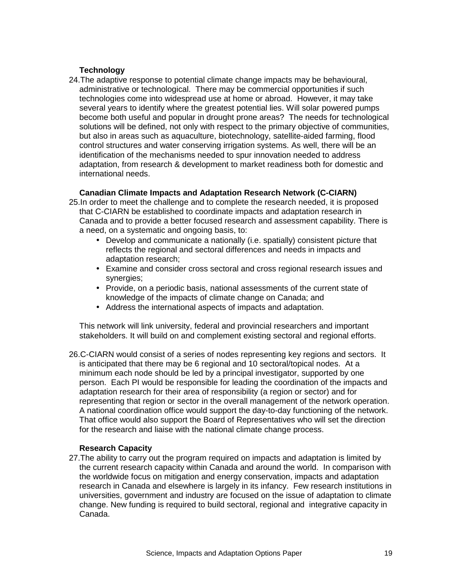# **Technology**

24. The adaptive response to potential climate change impacts may be behavioural, administrative or technological. There may be commercial opportunities if such technologies come into widespread use at home or abroad. However, it may take several years to identify where the greatest potential lies. Will solar powered pumps become both useful and popular in drought prone areas? The needs for technological solutions will be defined, not only with respect to the primary objective of communities, but also in areas such as aquaculture, biotechnology, satellite-aided farming, flood control structures and water conserving irrigation systems. As well, there will be an identification of the mechanisms needed to spur innovation needed to address adaptation, from research & development to market readiness both for domestic and international needs.

# **Canadian Climate Impacts and Adaptation Research Network (C-CIARN)**

- 25. In order to meet the challenge and to complete the research needed, it is proposed that C-CIARN be established to coordinate impacts and adaptation research in Canada and to provide a better focused research and assessment capability. There is a need, on a systematic and ongoing basis, to:
	- Develop and communicate a nationally (i.e. spatially) consistent picture that reflects the regional and sectoral differences and needs in impacts and adaptation research;
	- Examine and consider cross sectoral and cross regional research issues and synergies;
	- Provide, on a periodic basis, national assessments of the current state of knowledge of the impacts of climate change on Canada; and
	- Address the international aspects of impacts and adaptation.

This network will link university, federal and provincial researchers and important stakeholders. It will build on and complement existing sectoral and regional efforts.

26. C-CIARN would consist of a series of nodes representing key regions and sectors. It is anticipated that there may be 6 regional and 10 sectoral/topical nodes. At a minimum each node should be led by a principal investigator, supported by one person. Each PI would be responsible for leading the coordination of the impacts and adaptation research for their area of responsibility (a region or sector) and for representing that region or sector in the overall management of the network operation. A national coordination office would support the day-to-day functioning of the network. That office would also support the Board of Representatives who will set the direction for the research and liaise with the national climate change process.

# **Research Capacity**

27. The ability to carry out the program required on impacts and adaptation is limited by the current research capacity within Canada and around the world. In comparison with the worldwide focus on mitigation and energy conservation, impacts and adaptation research in Canada and elsewhere is largely in its infancy. Few research institutions in universities, government and industry are focused on the issue of adaptation to climate change. New funding is required to build sectoral, regional and integrative capacity in Canada.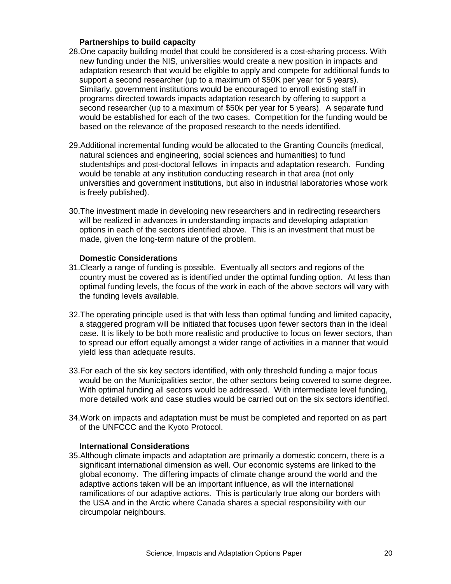#### **Partnerships to build capacity**

- 28. One capacity building model that could be considered is a cost-sharing process. With new funding under the NIS, universities would create a new position in impacts and adaptation research that would be eligible to apply and compete for additional funds to support a second researcher (up to a maximum of \$50K per year for 5 years). Similarly, government institutions would be encouraged to enroll existing staff in programs directed towards impacts adaptation research by offering to support a second researcher (up to a maximum of \$50k per year for 5 years). A separate fund would be established for each of the two cases. Competition for the funding would be based on the relevance of the proposed research to the needs identified.
- 29. Additional incremental funding would be allocated to the Granting Councils (medical, natural sciences and engineering, social sciences and humanities) to fund studentships and post-doctoral fellows in impacts and adaptation research. Funding would be tenable at any institution conducting research in that area (not only universities and government institutions, but also in industrial laboratories whose work is freely published).
- 30. The investment made in developing new researchers and in redirecting researchers will be realized in advances in understanding impacts and developing adaptation options in each of the sectors identified above. This is an investment that must be made, given the long-term nature of the problem.

#### **Domestic Considerations**

- 31. Clearly a range of funding is possible. Eventually all sectors and regions of the country must be covered as is identified under the optimal funding option. At less than optimal funding levels, the focus of the work in each of the above sectors will vary with the funding levels available.
- 32. The operating principle used is that with less than optimal funding and limited capacity, a staggered program will be initiated that focuses upon fewer sectors than in the ideal case. It is likely to be both more realistic and productive to focus on fewer sectors, than to spread our effort equally amongst a wider range of activities in a manner that would yield less than adequate results.
- 33. For each of the six key sectors identified, with only threshold funding a major focus would be on the Municipalities sector, the other sectors being covered to some degree. With optimal funding all sectors would be addressed. With intermediate level funding, more detailed work and case studies would be carried out on the six sectors identified.
- 34. Work on impacts and adaptation must be must be completed and reported on as part of the UNFCCC and the Kyoto Protocol.

#### **International Considerations**

35. Although climate impacts and adaptation are primarily a domestic concern, there is a significant international dimension as well. Our economic systems are linked to the global economy. The differing impacts of climate change around the world and the adaptive actions taken will be an important influence, as will the international ramifications of our adaptive actions. This is particularly true along our borders with the USA and in the Arctic where Canada shares a special responsibility with our circumpolar neighbours.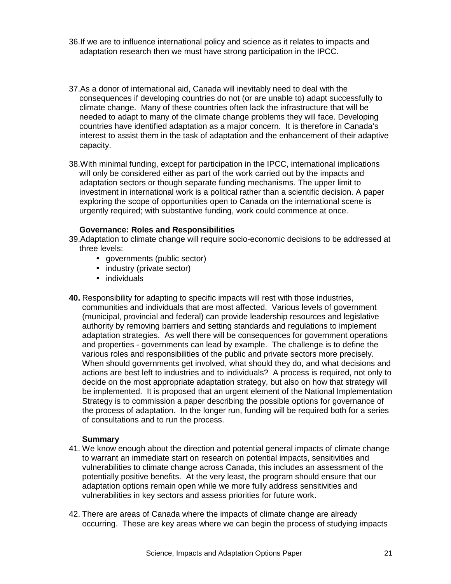- 36. If we are to influence international policy and science as it relates to impacts and adaptation research then we must have strong participation in the IPCC.
- 37. As a donor of international aid, Canada will inevitably need to deal with the consequences if developing countries do not (or are unable to) adapt successfully to climate change. Many of these countries often lack the infrastructure that will be needed to adapt to many of the climate change problems they will face. Developing countries have identified adaptation as a major concern. It is therefore in Canada's interest to assist them in the task of adaptation and the enhancement of their adaptive capacity.
- 38. With minimal funding, except for participation in the IPCC, international implications will only be considered either as part of the work carried out by the impacts and adaptation sectors or though separate funding mechanisms. The upper limit to investment in international work is a political rather than a scientific decision. A paper exploring the scope of opportunities open to Canada on the international scene is urgently required; with substantive funding, work could commence at once.

#### **Governance: Roles and Responsibilities**

- 39. Adaptation to climate change will require socio-economic decisions to be addressed at three levels:
	- governments (public sector)
	- industry (private sector)
	- individuals
- **40.** Responsibility for adapting to specific impacts will rest with those industries, communities and individuals that are most affected. Various levels of government (municipal, provincial and federal) can provide leadership resources and legislative authority by removing barriers and setting standards and regulations to implement adaptation strategies. As well there will be consequences for government operations and properties - governments can lead by example. The challenge is to define the various roles and responsibilities of the public and private sectors more precisely. When should governments get involved, what should they do, and what decisions and actions are best left to industries and to individuals? A process is required, not only to decide on the most appropriate adaptation strategy, but also on how that strategy will be implemented. It is proposed that an urgent element of the National Implementation Strategy is to commission a paper describing the possible options for governance of the process of adaptation. In the longer run, funding will be required both for a series of consultations and to run the process.

#### **Summary**

- 41. We know enough about the direction and potential general impacts of climate change to warrant an immediate start on research on potential impacts, sensitivities and vulnerabilities to climate change across Canada, this includes an assessment of the potentially positive benefits. At the very least, the program should ensure that our adaptation options remain open while we more fully address sensitivities and vulnerabilities in key sectors and assess priorities for future work.
- 42. There are areas of Canada where the impacts of climate change are already occurring. These are key areas where we can begin the process of studying impacts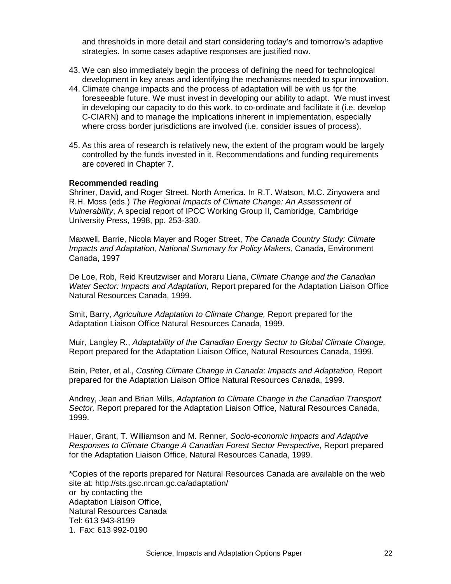and thresholds in more detail and start considering today's and tomorrow's adaptive strategies. In some cases adaptive responses are justified now.

- 43. We can also immediately begin the process of defining the need for technological development in key areas and identifying the mechanisms needed to spur innovation.
- 44. Climate change impacts and the process of adaptation will be with us for the foreseeable future. We must invest in developing our ability to adapt. We must invest in developing our capacity to do this work, to co-ordinate and facilitate it (i.e. develop C-CIARN) and to manage the implications inherent in implementation, especially where cross border jurisdictions are involved (i.e. consider issues of process).
- 45. As this area of research is relatively new, the extent of the program would be largely controlled by the funds invested in it. Recommendations and funding requirements are covered in Chapter 7.

#### **Recommended reading**

Shriner, David, and Roger Street. North America. In R.T. Watson, M.C. Zinyowera and R.H. Moss (eds.) *The Regional Impacts of Climate Change: An Assessment of Vulnerability*, A special report of IPCC Working Group II, Cambridge, Cambridge University Press, 1998, pp. 253-330.

Maxwell, Barrie, Nicola Mayer and Roger Street, *The Canada Country Study: Climate Impacts and Adaptation, National Summary for Policy Makers,* Canada, Environment Canada, 1997

De Loe, Rob, Reid Kreutzwiser and Moraru Liana, *Climate Change and the Canadian Water Sector: Impacts and Adaptation,* Report prepared for the Adaptation Liaison Office Natural Resources Canada, 1999.

Smit, Barry, *Agriculture Adaptation to Climate Change,* Report prepared for the Adaptation Liaison Office Natural Resources Canada, 1999.

Muir, Langley R., *Adaptability of the Canadian Energy Sector to Global Climate Change,* Report prepared for the Adaptation Liaison Office, Natural Resources Canada, 1999.

Bein, Peter, et al., *Costing Climate Change in Canada*: *Impacts and Adaptation,* Report prepared for the Adaptation Liaison Office Natural Resources Canada, 1999.

Andrey, Jean and Brian Mills, *Adaptation to Climate Change in the Canadian Transport Sector,* Report prepared for the Adaptation Liaison Office, Natural Resources Canada, 1999.

Hauer, Grant, T. Williamson and M. Renner, *Socio-economic Impacts and Adaptive Responses to Climate Change A Canadian Forest Sector Perspective*, Report prepared for the Adaptation Liaison Office, Natural Resources Canada, 1999.

\*Copies of the reports prepared for Natural Resources Canada are available on the web site at: http://sts.gsc.nrcan.gc.ca/adaptation/ or by contacting the Adaptation Liaison Office, Natural Resources Canada Tel: 613 943-8199 1. Fax: 613 992-0190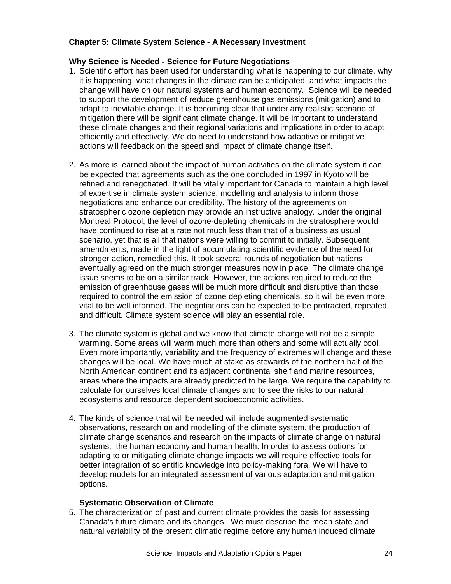# **Chapter 5: Climate System Science - A Necessary Investment**

# **Why Science is Needed - Science for Future Negotiations**

- 1. Scientific effort has been used for understanding what is happening to our climate, why it is happening, what changes in the climate can be anticipated, and what impacts the change will have on our natural systems and human economy. Science will be needed to support the development of reduce greenhouse gas emissions (mitigation) and to adapt to inevitable change. It is becoming clear that under any realistic scenario of mitigation there will be significant climate change. It will be important to understand these climate changes and their regional variations and implications in order to adapt efficiently and effectively. We do need to understand how adaptive or mitigative actions will feedback on the speed and impact of climate change itself.
- 2. As more is learned about the impact of human activities on the climate system it can be expected that agreements such as the one concluded in 1997 in Kyoto will be refined and renegotiated. It will be vitally important for Canada to maintain a high level of expertise in climate system science, modelling and analysis to inform those negotiations and enhance our credibility. The history of the agreements on stratospheric ozone depletion may provide an instructive analogy. Under the original Montreal Protocol, the level of ozone-depleting chemicals in the stratosphere would have continued to rise at a rate not much less than that of a business as usual scenario, yet that is all that nations were willing to commit to initially. Subsequent amendments, made in the light of accumulating scientific evidence of the need for stronger action, remedied this. It took several rounds of negotiation but nations eventually agreed on the much stronger measures now in place. The climate change issue seems to be on a similar track. However, the actions required to reduce the emission of greenhouse gases will be much more difficult and disruptive than those required to control the emission of ozone depleting chemicals, so it will be even more vital to be well informed. The negotiations can be expected to be protracted, repeated and difficult. Climate system science will play an essential role.
- 3. The climate system is global and we know that climate change will not be a simple warming. Some areas will warm much more than others and some will actually cool. Even more importantly, variability and the frequency of extremes will change and these changes will be local. We have much at stake as stewards of the northern half of the North American continent and its adjacent continental shelf and marine resources, areas where the impacts are already predicted to be large. We require the capability to calculate for ourselves local climate changes and to see the risks to our natural ecosystems and resource dependent socioeconomic activities.
- 4. The kinds of science that will be needed will include augmented systematic observations, research on and modelling of the climate system, the production of climate change scenarios and research on the impacts of climate change on natural systems, the human economy and human health. In order to assess options for adapting to or mitigating climate change impacts we will require effective tools for better integration of scientific knowledge into policy-making fora. We will have to develop models for an integrated assessment of various adaptation and mitigation options.

#### **Systematic Observation of Climate**

5. The characterization of past and current climate provides the basis for assessing Canada's future climate and its changes. We must describe the mean state and natural variability of the present climatic regime before any human induced climate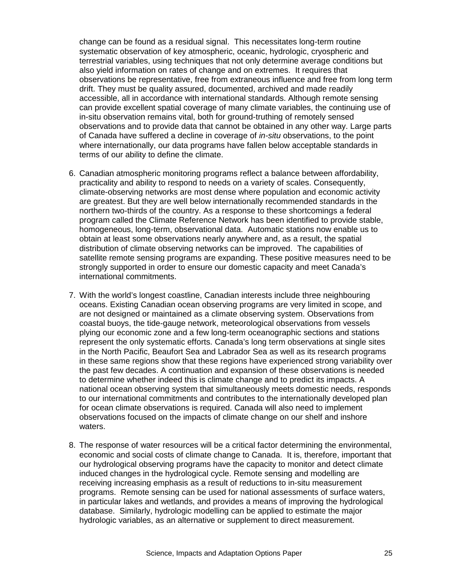change can be found as a residual signal. This necessitates long-term routine systematic observation of key atmospheric, oceanic, hydrologic, cryospheric and terrestrial variables, using techniques that not only determine average conditions but also yield information on rates of change and on extremes. It requires that observations be representative, free from extraneous influence and free from long term drift. They must be quality assured, documented, archived and made readily accessible, all in accordance with international standards. Although remote sensing can provide excellent spatial coverage of many climate variables, the continuing use of in-situ observation remains vital, both for ground-truthing of remotely sensed observations and to provide data that cannot be obtained in any other way. Large parts of Canada have suffered a decline in coverage of *in-situ* observations, to the point where internationally, our data programs have fallen below acceptable standards in terms of our ability to define the climate.

- 6. Canadian atmospheric monitoring programs reflect a balance between affordability, practicality and ability to respond to needs on a variety of scales. Consequently, climate-observing networks are most dense where population and economic activity are greatest. But they are well below internationally recommended standards in the northern two-thirds of the country. As a response to these shortcomings a federal program called the Climate Reference Network has been identified to provide stable, homogeneous, long-term, observational data. Automatic stations now enable us to obtain at least some observations nearly anywhere and, as a result, the spatial distribution of climate observing networks can be improved. The capabilities of satellite remote sensing programs are expanding. These positive measures need to be strongly supported in order to ensure our domestic capacity and meet Canada's international commitments.
- 7. With the world's longest coastline, Canadian interests include three neighbouring oceans. Existing Canadian ocean observing programs are very limited in scope, and are not designed or maintained as a climate observing system. Observations from coastal buoys, the tide-gauge network, meteorological observations from vessels plying our economic zone and a few long-term oceanographic sections and stations represent the only systematic efforts. Canada's long term observations at single sites in the North Pacific, Beaufort Sea and Labrador Sea as well as its research programs in these same regions show that these regions have experienced strong variability over the past few decades. A continuation and expansion of these observations is needed to determine whether indeed this is climate change and to predict its impacts. A national ocean observing system that simultaneously meets domestic needs, responds to our international commitments and contributes to the internationally developed plan for ocean climate observations is required. Canada will also need to implement observations focused on the impacts of climate change on our shelf and inshore waters.
- 8. The response of water resources will be a critical factor determining the environmental, economic and social costs of climate change to Canada. It is, therefore, important that our hydrological observing programs have the capacity to monitor and detect climate induced changes in the hydrological cycle. Remote sensing and modelling are receiving increasing emphasis as a result of reductions to in-situ measurement programs. Remote sensing can be used for national assessments of surface waters, in particular lakes and wetlands, and provides a means of improving the hydrological database. Similarly, hydrologic modelling can be applied to estimate the major hydrologic variables, as an alternative or supplement to direct measurement.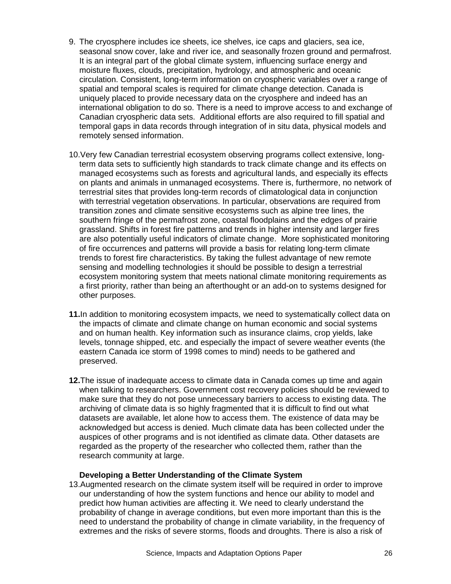- 9. The cryosphere includes ice sheets, ice shelves, ice caps and glaciers, sea ice, seasonal snow cover, lake and river ice, and seasonally frozen ground and permafrost. It is an integral part of the global climate system, influencing surface energy and moisture fluxes, clouds, precipitation, hydrology, and atmospheric and oceanic circulation. Consistent, long-term information on cryospheric variables over a range of spatial and temporal scales is required for climate change detection. Canada is uniquely placed to provide necessary data on the cryosphere and indeed has an international obligation to do so. There is a need to improve access to and exchange of Canadian cryospheric data sets. Additional efforts are also required to fill spatial and temporal gaps in data records through integration of in situ data, physical models and remotely sensed information.
- 10. Very few Canadian terrestrial ecosystem observing programs collect extensive, longterm data sets to sufficiently high standards to track climate change and its effects on managed ecosystems such as forests and agricultural lands, and especially its effects on plants and animals in unmanaged ecosystems. There is, furthermore, no network of terrestrial sites that provides long-term records of climatological data in conjunction with terrestrial vegetation observations. In particular, observations are required from transition zones and climate sensitive ecosystems such as alpine tree lines, the southern fringe of the permafrost zone, coastal floodplains and the edges of prairie grassland. Shifts in forest fire patterns and trends in higher intensity and larger fires are also potentially useful indicators of climate change. More sophisticated monitoring of fire occurrences and patterns will provide a basis for relating long-term climate trends to forest fire characteristics. By taking the fullest advantage of new remote sensing and modelling technologies it should be possible to design a terrestrial ecosystem monitoring system that meets national climate monitoring requirements as a first priority, rather than being an afterthought or an add-on to systems designed for other purposes.
- **11.** In addition to monitoring ecosystem impacts, we need to systematically collect data on the impacts of climate and climate change on human economic and social systems and on human health. Key information such as insurance claims, crop yields, lake levels, tonnage shipped, etc. and especially the impact of severe weather events (the eastern Canada ice storm of 1998 comes to mind) needs to be gathered and preserved.
- **12.** The issue of inadequate access to climate data in Canada comes up time and again when talking to researchers. Government cost recovery policies should be reviewed to make sure that they do not pose unnecessary barriers to access to existing data. The archiving of climate data is so highly fragmented that it is difficult to find out what datasets are available, let alone how to access them. The existence of data may be acknowledged but access is denied. Much climate data has been collected under the auspices of other programs and is not identified as climate data. Other datasets are regarded as the property of the researcher who collected them, rather than the research community at large.

#### **Developing a Better Understanding of the Climate System**

13. Augmented research on the climate system itself will be required in order to improve our understanding of how the system functions and hence our ability to model and predict how human activities are affecting it. We need to clearly understand the probability of change in average conditions, but even more important than this is the need to understand the probability of change in climate variability, in the frequency of extremes and the risks of severe storms, floods and droughts. There is also a risk of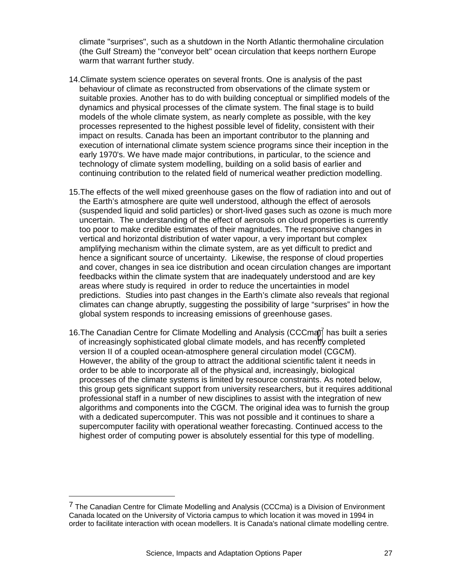climate "surprises", such as a shutdown in the North Atlantic thermohaline circulation (the Gulf Stream) the "conveyor belt" ocean circulation that keeps northern Europe warm that warrant further study.

- 14. Climate system science operates on several fronts. One is analysis of the past behaviour of climate as reconstructed from observations of the climate system or suitable proxies. Another has to do with building conceptual or simplified models of the dynamics and physical processes of the climate system. The final stage is to build models of the whole climate system, as nearly complete as possible, with the key processes represented to the highest possible level of fidelity, consistent with their impact on results. Canada has been an important contributor to the planning and execution of international climate system science programs since their inception in the early 1970's. We have made major contributions, in particular, to the science and technology of climate system modelling, building on a solid basis of earlier and continuing contribution to the related field of numerical weather prediction modelling.
- 15. The effects of the well mixed greenhouse gases on the flow of radiation into and out of the Earth's atmosphere are quite well understood, although the effect of aerosols (suspended liquid and solid particles) or short-lived gases such as ozone is much more uncertain. The understanding of the effect of aerosols on cloud properties is currently too poor to make credible estimates of their magnitudes. The responsive changes in vertical and horizontal distribution of water vapour, a very important but complex amplifying mechanism within the climate system, are as yet difficult to predict and hence a significant source of uncertainty. Likewise, the response of cloud properties and cover, changes in sea ice distribution and ocean circulation changes are important feedbacks within the climate system that are inadequately understood and are key areas where study is required in order to reduce the uncertainties in model predictions. Studies into past changes in the Earth's climate also reveals that regional climates can change abruptly, suggesting the possibility of large "surprises" in how the global system responds to increasing emissions of greenhouse gases.
- 16. The Canadian Centre for Climate Modelling and Analysis (CCCma) $^7$  has built a series of increasingly sophisticated global climate models, and has recently completed version II of a coupled ocean-atmosphere general circulation model (CGCM). However, the ability of the group to attract the additional scientific talent it needs in order to be able to incorporate all of the physical and, increasingly, biological processes of the climate systems is limited by resource constraints. As noted below, this group gets significant support from university researchers, but it requires additional professional staff in a number of new disciplines to assist with the integration of new algorithms and components into the CGCM. The original idea was to furnish the group with a dedicated supercomputer. This was not possible and it continues to share a supercomputer facility with operational weather forecasting. Continued access to the highest order of computing power is absolutely essential for this type of modelling.

1

 $<sup>7</sup>$  The Canadian Centre for Climate Modelling and Analysis (CCCma) is a Division of Environment</sup> Canada located on the University of Victoria campus to which location it was moved in 1994 in order to facilitate interaction with ocean modellers. It is Canada's national climate modelling centre.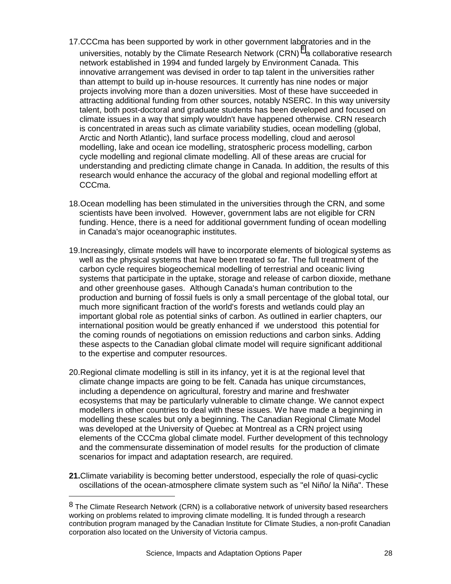- 17. CCCma has been supported by work in other government laboratories and in the universities, notably by the Climate Research Network (CRN) 8 a collaborative research network established in 1994 and funded largely by Environment Canada. This innovative arrangement was devised in order to tap talent in the universities rather than attempt to build up in-house resources. It currently has nine nodes or major projects involving more than a dozen universities. Most of these have succeeded in attracting additional funding from other sources, notably NSERC. In this way university talent, both post-doctoral and graduate students has been developed and focused on climate issues in a way that simply wouldn't have happened otherwise. CRN research is concentrated in areas such as climate variability studies, ocean modelling (global, Arctic and North Atlantic), land surface process modelling, cloud and aerosol modelling, lake and ocean ice modelling, stratospheric process modelling, carbon cycle modelling and regional climate modelling. All of these areas are crucial for understanding and predicting climate change in Canada. In addition, the results of this research would enhance the accuracy of the global and regional modelling effort at CCCma.
- 18. Ocean modelling has been stimulated in the universities through the CRN, and some scientists have been involved. However, government labs are not eligible for CRN funding. Hence, there is a need for additional government funding of ocean modelling in Canada's major oceanographic institutes.
- 19. Increasingly, climate models will have to incorporate elements of biological systems as well as the physical systems that have been treated so far. The full treatment of the carbon cycle requires biogeochemical modelling of terrestrial and oceanic living systems that participate in the uptake, storage and release of carbon dioxide, methane and other greenhouse gases. Although Canada's human contribution to the production and burning of fossil fuels is only a small percentage of the global total, our much more significant fraction of the world's forests and wetlands could play an important global role as potential sinks of carbon. As outlined in earlier chapters, our international position would be greatly enhanced if we understood this potential for the coming rounds of negotiations on emission reductions and carbon sinks. Adding these aspects to the Canadian global climate model will require significant additional to the expertise and computer resources.
- 20. Regional climate modelling is still in its infancy, yet it is at the regional level that climate change impacts are going to be felt. Canada has unique circumstances, including a dependence on agricultural, forestry and marine and freshwater ecosystems that may be particularly vulnerable to climate change. We cannot expect modellers in other countries to deal with these issues. We have made a beginning in modelling these scales but only a beginning. The Canadian Regional Climate Model was developed at the University of Quebec at Montreal as a CRN project using elements of the CCCma global climate model. Further development of this technology and the commensurate dissemination of model results for the production of climate scenarios for impact and adaptation research, are required.
- **21.** Climate variability is becoming better understood, especially the role of quasi-cyclic oscillations of the ocean-atmosphere climate system such as "el Niño/ la Niña". These

1

 $8$  The Climate Research Network (CRN) is a collaborative network of university based researchers working on problems related to improving climate modelling. It is funded through a research contribution program managed by the Canadian Institute for Climate Studies, a non-profit Canadian corporation also located on the University of Victoria campus.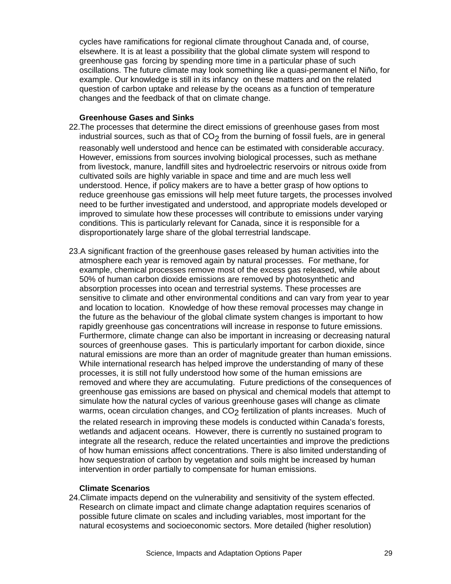cycles have ramifications for regional climate throughout Canada and, of course, elsewhere. It is at least a possibility that the global climate system will respond to greenhouse gas forcing by spending more time in a particular phase of such oscillations. The future climate may look something like a quasi-permanent el Niño, for example. Our knowledge is still in its infancy on these matters and on the related question of carbon uptake and release by the oceans as a function of temperature changes and the feedback of that on climate change.

#### **Greenhouse Gases and Sinks**

- 22. The processes that determine the direct emissions of greenhouse gases from most industrial sources, such as that of  $CO<sub>2</sub>$  from the burning of fossil fuels, are in general reasonably well understood and hence can be estimated with considerable accuracy. However, emissions from sources involving biological processes, such as methane from livestock, manure, landfill sites and hydroelectric reservoirs or nitrous oxide from cultivated soils are highly variable in space and time and are much less well understood. Hence, if policy makers are to have a better grasp of how options to reduce greenhouse gas emissions will help meet future targets, the processes involved need to be further investigated and understood, and appropriate models developed or improved to simulate how these processes will contribute to emissions under varying conditions. This is particularly relevant for Canada, since it is responsible for a disproportionately large share of the global terrestrial landscape.
- 23. A significant fraction of the greenhouse gases released by human activities into the atmosphere each year is removed again by natural processes. For methane, for example, chemical processes remove most of the excess gas released, while about 50% of human carbon dioxide emissions are removed by photosynthetic and absorption processes into ocean and terrestrial systems. These processes are sensitive to climate and other environmental conditions and can vary from year to year and location to location. Knowledge of how these removal processes may change in the future as the behaviour of the global climate system changes is important to how rapidly greenhouse gas concentrations will increase in response to future emissions. Furthermore, climate change can also be important in increasing or decreasing natural sources of greenhouse gases. This is particularly important for carbon dioxide, since natural emissions are more than an order of magnitude greater than human emissions. While international research has helped improve the understanding of many of these processes, it is still not fully understood how some of the human emissions are removed and where they are accumulating. Future predictions of the consequences of greenhouse gas emissions are based on physical and chemical models that attempt to simulate how the natural cycles of various greenhouse gases will change as climate warms, ocean circulation changes, and  $CO<sub>2</sub>$  fertilization of plants increases. Much of the related research in improving these models is conducted within Canada's forests, wetlands and adjacent oceans. However, there is currently no sustained program to integrate all the research, reduce the related uncertainties and improve the predictions of how human emissions affect concentrations. There is also limited understanding of how sequestration of carbon by vegetation and soils might be increased by human intervention in order partially to compensate for human emissions.

#### **Climate Scenarios**

24. Climate impacts depend on the vulnerability and sensitivity of the system effected. Research on climate impact and climate change adaptation requires scenarios of possible future climate on scales and including variables, most important for the natural ecosystems and socioeconomic sectors. More detailed (higher resolution)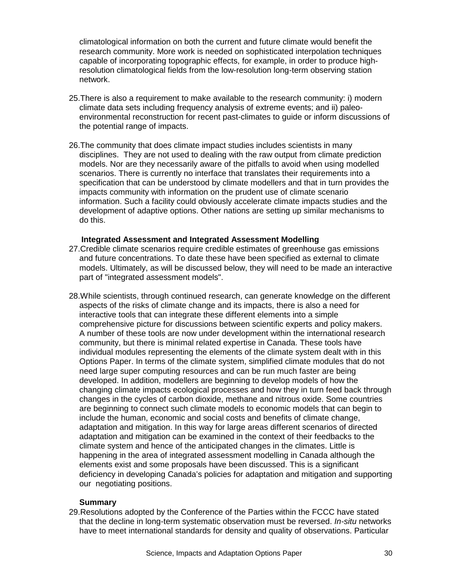climatological information on both the current and future climate would benefit the research community. More work is needed on sophisticated interpolation techniques capable of incorporating topographic effects, for example, in order to produce highresolution climatological fields from the low-resolution long-term observing station network.

- 25. There is also a requirement to make available to the research community: i) modern climate data sets including frequency analysis of extreme events; and ii) paleoenvironmental reconstruction for recent past-climates to guide or inform discussions of the potential range of impacts.
- 26. The community that does climate impact studies includes scientists in many disciplines. They are not used to dealing with the raw output from climate prediction models. Nor are they necessarily aware of the pitfalls to avoid when using modelled scenarios. There is currently no interface that translates their requirements into a specification that can be understood by climate modellers and that in turn provides the impacts community with information on the prudent use of climate scenario information. Such a facility could obviously accelerate climate impacts studies and the development of adaptive options. Other nations are setting up similar mechanisms to do this.

#### **Integrated Assessment and Integrated Assessment Modelling**

- 27. Credible climate scenarios require credible estimates of greenhouse gas emissions and future concentrations. To date these have been specified as external to climate models. Ultimately, as will be discussed below, they will need to be made an interactive part of "integrated assessment models".
- 28. While scientists, through continued research, can generate knowledge on the different aspects of the risks of climate change and its impacts, there is also a need for interactive tools that can integrate these different elements into a simple comprehensive picture for discussions between scientific experts and policy makers. A number of these tools are now under development within the international research community, but there is minimal related expertise in Canada. These tools have individual modules representing the elements of the climate system dealt with in this Options Paper. In terms of the climate system, simplified climate modules that do not need large super computing resources and can be run much faster are being developed. In addition, modellers are beginning to develop models of how the changing climate impacts ecological processes and how they in turn feed back through changes in the cycles of carbon dioxide, methane and nitrous oxide. Some countries are beginning to connect such climate models to economic models that can begin to include the human, economic and social costs and benefits of climate change, adaptation and mitigation. In this way for large areas different scenarios of directed adaptation and mitigation can be examined in the context of their feedbacks to the climate system and hence of the anticipated changes in the climates. Little is happening in the area of integrated assessment modelling in Canada although the elements exist and some proposals have been discussed. This is a significant deficiency in developing Canada's policies for adaptation and mitigation and supporting our negotiating positions.

#### **Summary**

29. Resolutions adopted by the Conference of the Parties within the FCCC have stated that the decline in long-term systematic observation must be reversed. *In-situ* networks have to meet international standards for density and quality of observations. Particular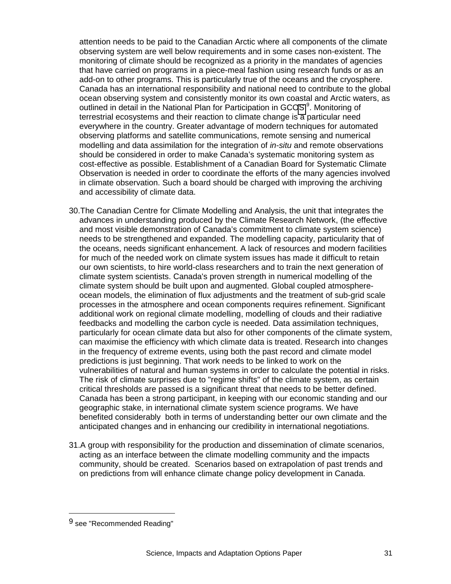attention needs to be paid to the Canadian Arctic where all components of the climate observing system are well below requirements and in some cases non-existent. The monitoring of climate should be recognized as a priority in the mandates of agencies that have carried on programs in a piece-meal fashion using research funds or as an add-on to other programs. This is particularly true of the oceans and the cryosphere. Canada has an international responsibility and national need to contribute to the global ocean observing system and consistently monitor its own coastal and Arctic waters, as outlined in detail in the National Plan for Participation in GCOS<sup>9</sup>. Monitoring of terrestrial ecosystems and their reaction to climate change is a particular need everywhere in the country. Greater advantage of modern techniques for automated observing platforms and satellite communications, remote sensing and numerical modelling and data assimilation for the integration of *in-situ* and remote observations should be considered in order to make Canada's systematic monitoring system as cost-effective as possible. Establishment of a Canadian Board for Systematic Climate Observation is needed in order to coordinate the efforts of the many agencies involved in climate observation. Such a board should be charged with improving the archiving and accessibility of climate data.

- 30. The Canadian Centre for Climate Modelling and Analysis, the unit that integrates the advances in understanding produced by the Climate Research Network, (the effective and most visible demonstration of Canada's commitment to climate system science) needs to be strengthened and expanded. The modelling capacity, particularity that of the oceans, needs significant enhancement. A lack of resources and modern facilities for much of the needed work on climate system issues has made it difficult to retain our own scientists, to hire world-class researchers and to train the next generation of climate system scientists. Canada's proven strength in numerical modelling of the climate system should be built upon and augmented. Global coupled atmosphereocean models, the elimination of flux adjustments and the treatment of sub-grid scale processes in the atmosphere and ocean components requires refinement. Significant additional work on regional climate modelling, modelling of clouds and their radiative feedbacks and modelling the carbon cycle is needed. Data assimilation techniques, particularly for ocean climate data but also for other components of the climate system, can maximise the efficiency with which climate data is treated. Research into changes in the frequency of extreme events, using both the past record and climate model predictions is just beginning. That work needs to be linked to work on the vulnerabilities of natural and human systems in order to calculate the potential in risks. The risk of climate surprises due to "regime shifts" of the climate system, as certain critical thresholds are passed is a significant threat that needs to be better defined. Canada has been a strong participant, in keeping with our economic standing and our geographic stake, in international climate system science programs. We have benefited considerably both in terms of understanding better our own climate and the anticipated changes and in enhancing our credibility in international negotiations.
- 31. A group with responsibility for the production and dissemination of climate scenarios, acting as an interface between the climate modelling community and the impacts community, should be created. Scenarios based on extrapolation of past trends and on predictions from will enhance climate change policy development in Canada.

1

<sup>9</sup> see "Recommended Reading"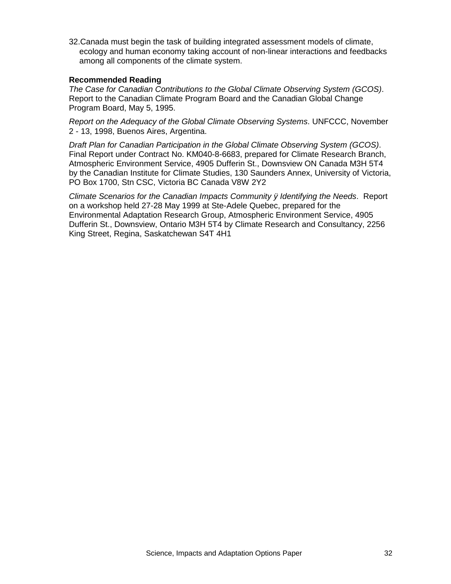32. Canada must begin the task of building integrated assessment models of climate, ecology and human economy taking account of non-linear interactions and feedbacks among all components of the climate system.

## **Recommended Reading**

*The Case for Canadian Contributions to the Global Climate Observing System (GCOS)*. Report to the Canadian Climate Program Board and the Canadian Global Change Program Board, May 5, 1995.

*Report on the Adequacy of the Global Climate Observing Systems*. UNFCCC, November 2 - 13, 1998, Buenos Aires, Argentina.

*Draft Plan for Canadian Participation in the Global Climate Observing System (GCOS)*. Final Report under Contract No. KM040-8-6683, prepared for Climate Research Branch, Atmospheric Environment Service, 4905 Dufferin St., Downsview ON Canada M3H 5T4 by the Canadian Institute for Climate Studies, 130 Saunders Annex, University of Victoria, PO Box 1700, Stn CSC, Victoria BC Canada V8W 2Y2

*Climate Scenarios for the Canadian Impacts Community ÿ Identifying the Needs*. Report on a workshop held 27-28 May 1999 at Ste-Adele Quebec, prepared for the Environmental Adaptation Research Group, Atmospheric Environment Service, 4905 Dufferin St., Downsview, Ontario M3H 5T4 by Climate Research and Consultancy, 2256 King Street, Regina, Saskatchewan S4T 4H1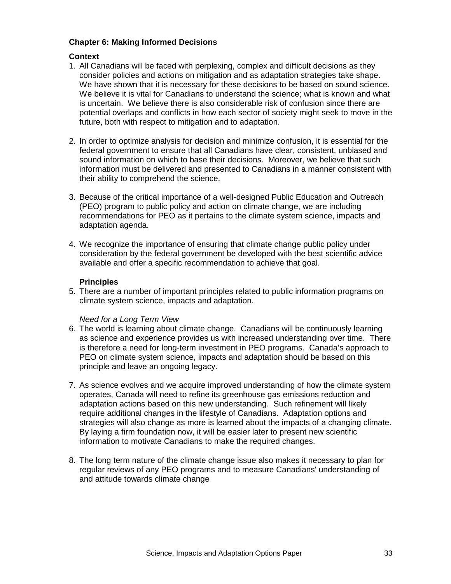# **Chapter 6: Making Informed Decisions**

#### **Context**

- 1. All Canadians will be faced with perplexing, complex and difficult decisions as they consider policies and actions on mitigation and as adaptation strategies take shape. We have shown that it is necessary for these decisions to be based on sound science. We believe it is vital for Canadians to understand the science; what is known and what is uncertain. We believe there is also considerable risk of confusion since there are potential overlaps and conflicts in how each sector of society might seek to move in the future, both with respect to mitigation and to adaptation.
- 2. In order to optimize analysis for decision and minimize confusion, it is essential for the federal government to ensure that all Canadians have clear, consistent, unbiased and sound information on which to base their decisions. Moreover, we believe that such information must be delivered and presented to Canadians in a manner consistent with their ability to comprehend the science.
- 3. Because of the critical importance of a well-designed Public Education and Outreach (PEO) program to public policy and action on climate change, we are including recommendations for PEO as it pertains to the climate system science, impacts and adaptation agenda.
- 4. We recognize the importance of ensuring that climate change public policy under consideration by the federal government be developed with the best scientific advice available and offer a specific recommendation to achieve that goal.

#### **Principles**

5. There are a number of important principles related to public information programs on climate system science, impacts and adaptation.

#### *Need for a Long Term View*

- 6. The world is learning about climate change. Canadians will be continuously learning as science and experience provides us with increased understanding over time. There is therefore a need for long-term investment in PEO programs. Canada's approach to PEO on climate system science, impacts and adaptation should be based on this principle and leave an ongoing legacy.
- 7. As science evolves and we acquire improved understanding of how the climate system operates, Canada will need to refine its greenhouse gas emissions reduction and adaptation actions based on this new understanding. Such refinement will likely require additional changes in the lifestyle of Canadians. Adaptation options and strategies will also change as more is learned about the impacts of a changing climate. By laying a firm foundation now, it will be easier later to present new scientific information to motivate Canadians to make the required changes.
- 8. The long term nature of the climate change issue also makes it necessary to plan for regular reviews of any PEO programs and to measure Canadians' understanding of and attitude towards climate change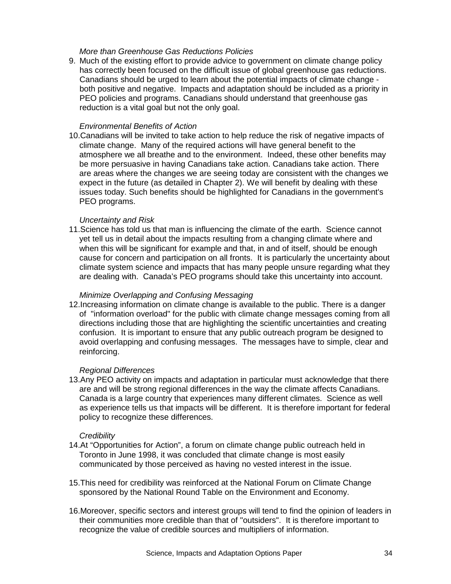### *More than Greenhouse Gas Reductions Policies*

9. Much of the existing effort to provide advice to government on climate change policy has correctly been focused on the difficult issue of global greenhouse gas reductions. Canadians should be urged to learn about the potential impacts of climate change both positive and negative. Impacts and adaptation should be included as a priority in PEO policies and programs. Canadians should understand that greenhouse gas reduction is a vital goal but not the only goal.

#### *Environmental Benefits of Action*

10. Canadians will be invited to take action to help reduce the risk of negative impacts of climate change. Many of the required actions will have general benefit to the atmosphere we all breathe and to the environment. Indeed, these other benefits may be more persuasive in having Canadians take action. Canadians take action. There are areas where the changes we are seeing today are consistent with the changes we expect in the future (as detailed in Chapter 2). We will benefit by dealing with these issues today. Such benefits should be highlighted for Canadians in the government's PEO programs.

#### *Uncertainty and Risk*

11. Science has told us that man is influencing the climate of the earth. Science cannot yet tell us in detail about the impacts resulting from a changing climate where and when this will be significant for example and that, in and of itself, should be enough cause for concern and participation on all fronts. It is particularly the uncertainty about climate system science and impacts that has many people unsure regarding what they are dealing with. Canada's PEO programs should take this uncertainty into account.

#### *Minimize Overlapping and Confusing Messaging*

12. Increasing information on climate change is available to the public. There is a danger of "information overload" for the public with climate change messages coming from all directions including those that are highlighting the scientific uncertainties and creating confusion. It is important to ensure that any public outreach program be designed to avoid overlapping and confusing messages. The messages have to simple, clear and reinforcing.

#### *Regional Differences*

13. Any PEO activity on impacts and adaptation in particular must acknowledge that there are and will be strong regional differences in the way the climate affects Canadians. Canada is a large country that experiences many different climates. Science as well as experience tells us that impacts will be different. It is therefore important for federal policy to recognize these differences.

#### *Credibility*

- 14. At "Opportunities for Action", a forum on climate change public outreach held in Toronto in June 1998, it was concluded that climate change is most easily communicated by those perceived as having no vested interest in the issue.
- 15. This need for credibility was reinforced at the National Forum on Climate Change sponsored by the National Round Table on the Environment and Economy.
- 16. Moreover, specific sectors and interest groups will tend to find the opinion of leaders in their communities more credible than that of "outsiders". It is therefore important to recognize the value of credible sources and multipliers of information.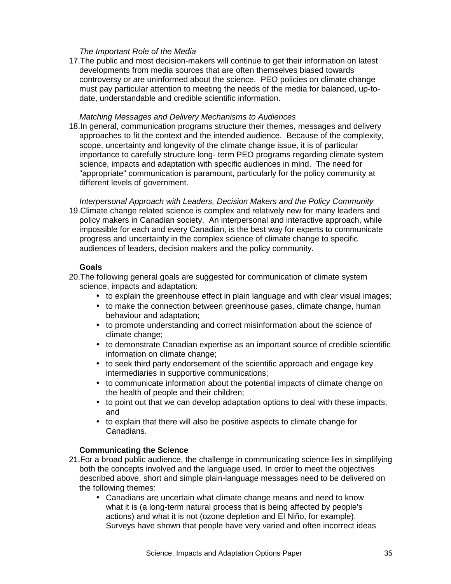## *The Important Role of the Media*

17. The public and most decision-makers will continue to get their information on latest developments from media sources that are often themselves biased towards controversy or are uninformed about the science. PEO policies on climate change must pay particular attention to meeting the needs of the media for balanced, up-todate, understandable and credible scientific information.

#### *Matching Messages and Delivery Mechanisms to Audiences*

18. In general, communication programs structure their themes, messages and delivery approaches to fit the context and the intended audience. Because of the complexity, scope, uncertainty and longevity of the climate change issue, it is of particular importance to carefully structure long- term PEO programs regarding climate system science, impacts and adaptation with specific audiences in mind. The need for "appropriate" communication is paramount, particularly for the policy community at different levels of government.

*Interpersonal Approach with Leaders, Decision Makers and the Policy Community* 19. Climate change related science is complex and relatively new for many leaders and policy makers in Canadian society. An interpersonal and interactive approach, while impossible for each and every Canadian, is the best way for experts to communicate progress and uncertainty in the complex science of climate change to specific audiences of leaders, decision makers and the policy community.

# **Goals**

- 20. The following general goals are suggested for communication of climate system science, impacts and adaptation:
	- to explain the greenhouse effect in plain language and with clear visual images;
	- to make the connection between greenhouse gases, climate change, human behaviour and adaptation;
	- to promote understanding and correct misinformation about the science of climate change;
	- to demonstrate Canadian expertise as an important source of credible scientific information on climate change:
	- to seek third party endorsement of the scientific approach and engage key intermediaries in supportive communications;
	- to communicate information about the potential impacts of climate change on the health of people and their children;
	- to point out that we can develop adaptation options to deal with these impacts; and
	- to explain that there will also be positive aspects to climate change for Canadians.

# **Communicating the Science**

- 21. For a broad public audience, the challenge in communicating science lies in simplifying both the concepts involved and the language used. In order to meet the objectives described above, short and simple plain-language messages need to be delivered on the following themes:
	- Canadians are uncertain what climate change means and need to know what it is (a long-term natural process that is being affected by people's actions) and what it is not (ozone depletion and El Niño, for example). Surveys have shown that people have very varied and often incorrect ideas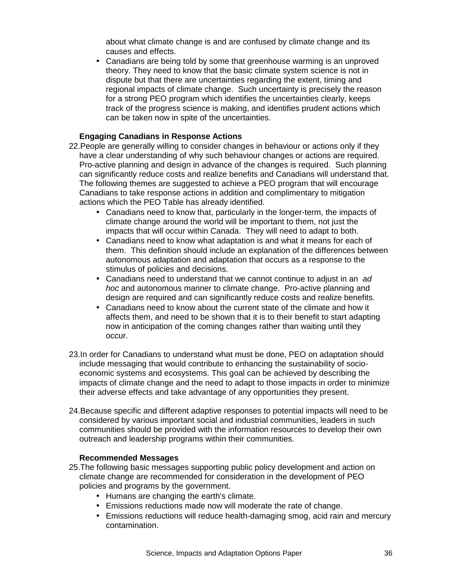about what climate change is and are confused by climate change and its causes and effects.

• Canadians are being told by some that greenhouse warming is an unproved theory. They need to know that the basic climate system science is not in dispute but that there are uncertainties regarding the extent, timing and regional impacts of climate change. Such uncertainty is precisely the reason for a strong PEO program which identifies the uncertainties clearly, keeps track of the progress science is making, and identifies prudent actions which can be taken now in spite of the uncertainties.

# **Engaging Canadians in Response Actions**

- 22. People are generally willing to consider changes in behaviour or actions only if they have a clear understanding of why such behaviour changes or actions are required. Pro-active planning and design in advance of the changes is required. Such planning can significantly reduce costs and realize benefits and Canadians will understand that. The following themes are suggested to achieve a PEO program that will encourage Canadians to take response actions in addition and complimentary to mitigation actions which the PEO Table has already identified.
	- Canadians need to know that, particularly in the longer-term, the impacts of climate change around the world will be important to them, not just the impacts that will occur within Canada. They will need to adapt to both.
	- Canadians need to know what adaptation is and what it means for each of them. This definition should include an explanation of the differences between autonomous adaptation and adaptation that occurs as a response to the stimulus of policies and decisions.
	- Canadians need to understand that we cannot continue to adjust in an *ad hoc* and autonomous manner to climate change. Pro-active planning and design are required and can significantly reduce costs and realize benefits.
	- Canadians need to know about the current state of the climate and how it affects them, and need to be shown that it is to their benefit to start adapting now in anticipation of the coming changes rather than waiting until they occur.
- 23. In order for Canadians to understand what must be done, PEO on adaptation should include messaging that would contribute to enhancing the sustainability of socioeconomic systems and ecosystems. This goal can be achieved by describing the impacts of climate change and the need to adapt to those impacts in order to minimize their adverse effects and take advantage of any opportunities they present.
- 24. Because specific and different adaptive responses to potential impacts will need to be considered by various important social and industrial communities, leaders in such communities should be provided with the information resources to develop their own outreach and leadership programs within their communities.

#### **Recommended Messages**

- 25. The following basic messages supporting public policy development and action on climate change are recommended for consideration in the development of PEO policies and programs by the government.
	- Humans are changing the earth's climate.
	- Emissions reductions made now will moderate the rate of change.
	- Emissions reductions will reduce health-damaging smog, acid rain and mercury contamination.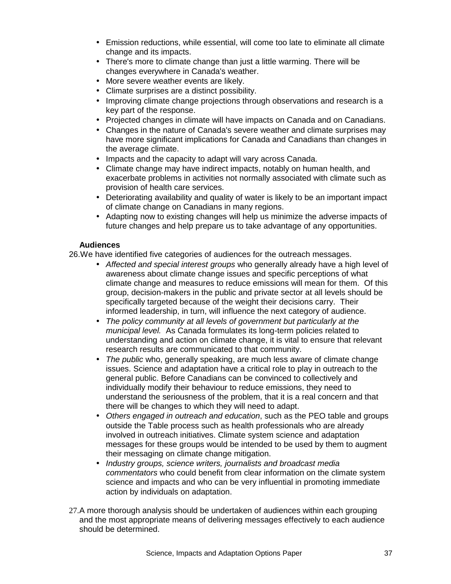- Emission reductions, while essential, will come too late to eliminate all climate change and its impacts.
- There's more to climate change than just a little warming. There will be changes everywhere in Canada's weather.
- More severe weather events are likely.
- Climate surprises are a distinct possibility.
- Improving climate change projections through observations and research is a key part of the response.
- Projected changes in climate will have impacts on Canada and on Canadians.
- Changes in the nature of Canada's severe weather and climate surprises may have more significant implications for Canada and Canadians than changes in the average climate.
- Impacts and the capacity to adapt will vary across Canada.
- Climate change may have indirect impacts, notably on human health, and exacerbate problems in activities not normally associated with climate such as provision of health care services.
- Deteriorating availability and quality of water is likely to be an important impact of climate change on Canadians in many regions.
- Adapting now to existing changes will help us minimize the adverse impacts of future changes and help prepare us to take advantage of any opportunities.

# **Audiences**

26. We have identified five categories of audiences for the outreach messages.

- *Affected and special interest groups* who generally already have a high level of awareness about climate change issues and specific perceptions of what climate change and measures to reduce emissions will mean for them. Of this group, decision-makers in the public and private sector at all levels should be specifically targeted because of the weight their decisions carry. Their informed leadership, in turn, will influence the next category of audience.
- *The policy community at all levels of government but particularly at the municipal level.* As Canada formulates its long-term policies related to understanding and action on climate change, it is vital to ensure that relevant research results are communicated to that community.
- *The public* who, generally speaking, are much less aware of climate change issues. Science and adaptation have a critical role to play in outreach to the general public. Before Canadians can be convinced to collectively and individually modify their behaviour to reduce emissions, they need to understand the seriousness of the problem, that it is a real concern and that there will be changes to which they will need to adapt.
- *Others engaged in outreach and education*, such as the PEO table and groups outside the Table process such as health professionals who are already involved in outreach initiatives. Climate system science and adaptation messages for these groups would be intended to be used by them to augment their messaging on climate change mitigation.
- *Industry groups, science writers, journalists and broadcast media commentators* who could benefit from clear information on the climate system science and impacts and who can be very influential in promoting immediate action by individuals on adaptation.
- 27. A more thorough analysis should be undertaken of audiences within each grouping and the most appropriate means of delivering messages effectively to each audience should be determined.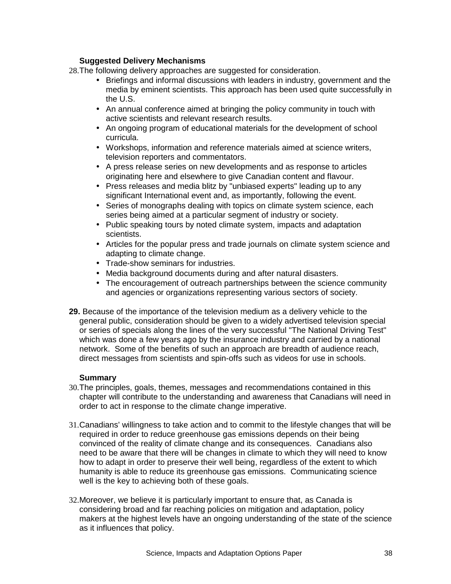# **Suggested Delivery Mechanisms**

28. The following delivery approaches are suggested for consideration.

- Briefings and informal discussions with leaders in industry, government and the media by eminent scientists. This approach has been used quite successfully in the U.S.
- An annual conference aimed at bringing the policy community in touch with active scientists and relevant research results.
- An ongoing program of educational materials for the development of school curricula.
- Workshops, information and reference materials aimed at science writers, television reporters and commentators.
- A press release series on new developments and as response to articles originating here and elsewhere to give Canadian content and flavour.
- Press releases and media blitz by "unbiased experts" leading up to any significant International event and, as importantly, following the event.
- Series of monographs dealing with topics on climate system science, each series being aimed at a particular segment of industry or society.
- Public speaking tours by noted climate system, impacts and adaptation scientists.
- Articles for the popular press and trade journals on climate system science and adapting to climate change.
- Trade-show seminars for industries.
- Media background documents during and after natural disasters.
- The encouragement of outreach partnerships between the science community and agencies or organizations representing various sectors of society.
- **29.** Because of the importance of the television medium as a delivery vehicle to the general public, consideration should be given to a widely advertised television special or series of specials along the lines of the very successful "The National Driving Test" which was done a few years ago by the insurance industry and carried by a national network. Some of the benefits of such an approach are breadth of audience reach, direct messages from scientists and spin-offs such as videos for use in schools.

#### **Summary**

- 30. The principles, goals, themes, messages and recommendations contained in this chapter will contribute to the understanding and awareness that Canadians will need in order to act in response to the climate change imperative.
- 31. Canadians' willingness to take action and to commit to the lifestyle changes that will be required in order to reduce greenhouse gas emissions depends on their being convinced of the reality of climate change and its consequences. Canadians also need to be aware that there will be changes in climate to which they will need to know how to adapt in order to preserve their well being, regardless of the extent to which humanity is able to reduce its greenhouse gas emissions. Communicating science well is the key to achieving both of these goals.
- 32. Moreover, we believe it is particularly important to ensure that, as Canada is considering broad and far reaching policies on mitigation and adaptation, policy makers at the highest levels have an ongoing understanding of the state of the science as it influences that policy.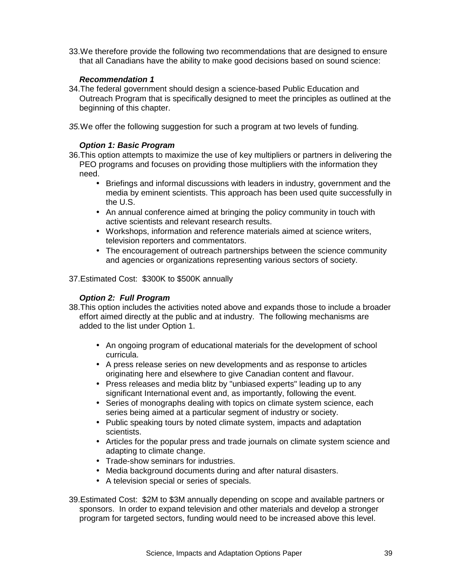33. We therefore provide the following two recommendations that are designed to ensure that all Canadians have the ability to make good decisions based on sound science:

# *Recommendation 1*

- 34. The federal government should design a science-based Public Education and Outreach Program that is specifically designed to meet the principles as outlined at the beginning of this chapter.
- *35.* We offer the following suggestion for such a program at two levels of funding*.*

# *Option 1: Basic Program*

- 36. This option attempts to maximize the use of key multipliers or partners in delivering the PEO programs and focuses on providing those multipliers with the information they need.
	- Briefings and informal discussions with leaders in industry, government and the media by eminent scientists. This approach has been used quite successfully in the U.S.
	- An annual conference aimed at bringing the policy community in touch with active scientists and relevant research results.
	- Workshops, information and reference materials aimed at science writers, television reporters and commentators.
	- The encouragement of outreach partnerships between the science community and agencies or organizations representing various sectors of society.
- 37. Estimated Cost: \$300K to \$500K annually

# *Option 2: Full Program*

- 38. This option includes the activities noted above and expands those to include a broader effort aimed directly at the public and at industry. The following mechanisms are added to the list under Option 1.
	- An ongoing program of educational materials for the development of school curricula.
	- A press release series on new developments and as response to articles originating here and elsewhere to give Canadian content and flavour.
	- Press releases and media blitz by "unbiased experts" leading up to any significant International event and, as importantly, following the event.
	- Series of monographs dealing with topics on climate system science, each series being aimed at a particular segment of industry or society.
	- Public speaking tours by noted climate system, impacts and adaptation scientists.
	- Articles for the popular press and trade journals on climate system science and adapting to climate change.
	- Trade-show seminars for industries.
	- Media background documents during and after natural disasters.
	- A television special or series of specials.
- 39. Estimated Cost: \$2M to \$3M annually depending on scope and available partners or sponsors. In order to expand television and other materials and develop a stronger program for targeted sectors, funding would need to be increased above this level.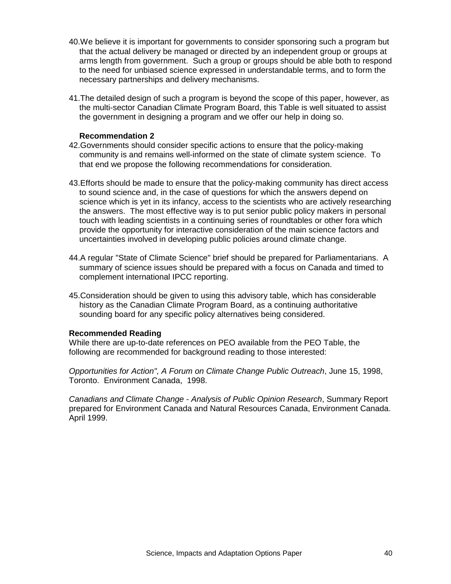- 40. We believe it is important for governments to consider sponsoring such a program but that the actual delivery be managed or directed by an independent group or groups at arms length from government. Such a group or groups should be able both to respond to the need for unbiased science expressed in understandable terms, and to form the necessary partnerships and delivery mechanisms.
- 41. The detailed design of such a program is beyond the scope of this paper, however, as the multi-sector Canadian Climate Program Board, this Table is well situated to assist the government in designing a program and we offer our help in doing so.

#### **Recommendation 2**

- 42. Governments should consider specific actions to ensure that the policy-making community is and remains well-informed on the state of climate system science. To that end we propose the following recommendations for consideration.
- 43. Efforts should be made to ensure that the policy-making community has direct access to sound science and, in the case of questions for which the answers depend on science which is yet in its infancy, access to the scientists who are actively researching the answers. The most effective way is to put senior public policy makers in personal touch with leading scientists in a continuing series of roundtables or other fora which provide the opportunity for interactive consideration of the main science factors and uncertainties involved in developing public policies around climate change.
- 44. A regular "State of Climate Science" brief should be prepared for Parliamentarians. A summary of science issues should be prepared with a focus on Canada and timed to complement international IPCC reporting.
- 45. Consideration should be given to using this advisory table, which has considerable history as the Canadian Climate Program Board, as a continuing authoritative sounding board for any specific policy alternatives being considered.

# **Recommended Reading**

While there are up-to-date references on PEO available from the PEO Table, the following are recommended for background reading to those interested:

*Opportunities for Action", A Forum on Climate Change Public Outreach*, June 15, 1998, Toronto. Environment Canada, 1998.

*Canadians and Climate Change - Analysis of Public Opinion Research*, Summary Report prepared for Environment Canada and Natural Resources Canada, Environment Canada. April 1999.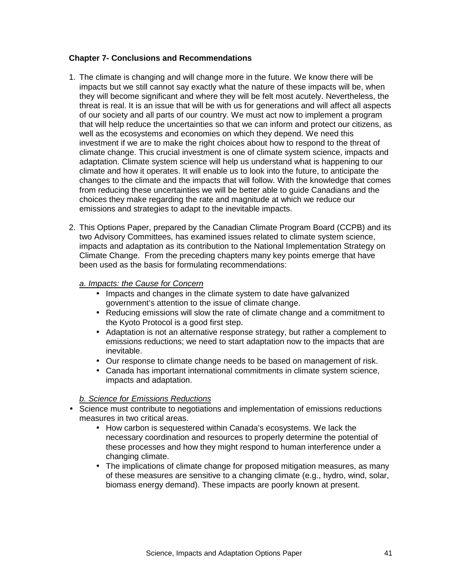# **Chapter 7- Conclusions and Recommendations**

- 1. The climate is changing and will change more in the future. We know there will be impacts but we still cannot say exactly what the nature of these impacts will be, when they will become significant and where they will be felt most acutely. Nevertheless, the threat is real. It is an issue that will be with us for generations and will affect all aspects of our society and all parts of our country. We must act now to implement a program that will help reduce the uncertainties so that we can inform and protect our citizens, as well as the ecosystems and economies on which they depend. We need this investment if we are to make the right choices about how to respond to the threat of climate change. This crucial investment is one of climate system science, impacts and adaptation. Climate system science will help us understand what is happening to our climate and how it operates. It will enable us to look into the future, to anticipate the changes to the climate and the impacts that will follow. With the knowledge that comes from reducing these uncertainties we will be better able to guide Canadians and the choices they make regarding the rate and magnitude at which we reduce our emissions and strategies to adapt to the inevitable impacts.
- 2. This Options Paper, prepared by the Canadian Climate Program Board (CCPB) and its two Advisory Committees, has examined issues related to climate system science, impacts and adaptation as its contribution to the National Implementation Strategy on Climate Change. From the preceding chapters many key points emerge that have been used as the basis for formulating recommendations:

#### *a. Impacts: the Cause for Concern*

- Impacts and changes in the climate system to date have galvanized government's attention to the issue of climate change.
- Reducing emissions will slow the rate of climate change and a commitment to the Kyoto Protocol is a good first step.
- Adaptation is not an alternative response strategy, but rather a complement to emissions reductions; we need to start adaptation now to the impacts that are inevitable.
- Our response to climate change needs to be based on management of risk.
- Canada has important international commitments in climate system science, impacts and adaptation.

# *b. Science for Emissions Reductions*

- Science must contribute to negotiations and implementation of emissions reductions measures in two critical areas.
	- How carbon is sequestered within Canada's ecosystems. We lack the necessary coordination and resources to properly determine the potential of these processes and how they might respond to human interference under a changing climate.
	- The implications of climate change for proposed mitigation measures, as many of these measures are sensitive to a changing climate (e.g., hydro, wind, solar, biomass energy demand). These impacts are poorly known at present.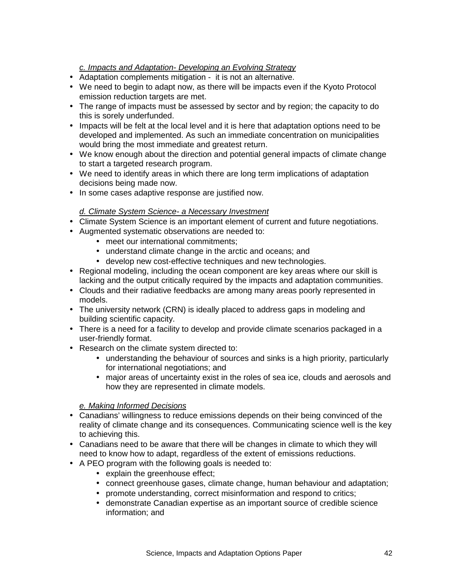# *c. Impacts and Adaptation- Developing an Evolving Strategy*

- Adaptation complements mitigation it is not an alternative.
- We need to begin to adapt now, as there will be impacts even if the Kyoto Protocol emission reduction targets are met.
- The range of impacts must be assessed by sector and by region; the capacity to do this is sorely underfunded.
- Impacts will be felt at the local level and it is here that adaptation options need to be developed and implemented. As such an immediate concentration on municipalities would bring the most immediate and greatest return.
- We know enough about the direction and potential general impacts of climate change to start a targeted research program.
- We need to identify areas in which there are long term implications of adaptation decisions being made now.
- In some cases adaptive response are justified now.

#### *d. Climate System Science- a Necessary Investment*

- Climate System Science is an important element of current and future negotiations.
- Augmented systematic observations are needed to:
	- meet our international commitments;
	- understand climate change in the arctic and oceans; and
	- develop new cost-effective techniques and new technologies.
- Regional modeling, including the ocean component are key areas where our skill is lacking and the output critically required by the impacts and adaptation communities.
- Clouds and their radiative feedbacks are among many areas poorly represented in models.
- The university network (CRN) is ideally placed to address gaps in modeling and building scientific capacity.
- There is a need for a facility to develop and provide climate scenarios packaged in a user-friendly format.
- Research on the climate system directed to:
	- understanding the behaviour of sources and sinks is a high priority, particularly for international negotiations; and
	- major areas of uncertainty exist in the roles of sea ice, clouds and aerosols and how they are represented in climate models.

#### *e. Making Informed Decisions*

- Canadians' willingness to reduce emissions depends on their being convinced of the reality of climate change and its consequences. Communicating science well is the key to achieving this.
- Canadians need to be aware that there will be changes in climate to which they will need to know how to adapt, regardless of the extent of emissions reductions.
- A PEO program with the following goals is needed to:
	- explain the greenhouse effect;
	- connect greenhouse gases, climate change, human behaviour and adaptation;
	- promote understanding, correct misinformation and respond to critics;
	- demonstrate Canadian expertise as an important source of credible science information; and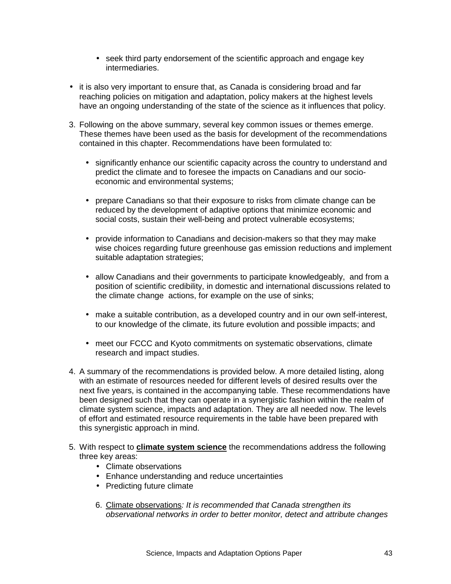- seek third party endorsement of the scientific approach and engage key intermediaries.
- it is also very important to ensure that, as Canada is considering broad and far reaching policies on mitigation and adaptation, policy makers at the highest levels have an ongoing understanding of the state of the science as it influences that policy.
- 3. Following on the above summary, several key common issues or themes emerge. These themes have been used as the basis for development of the recommendations contained in this chapter. Recommendations have been formulated to:
	- significantly enhance our scientific capacity across the country to understand and predict the climate and to foresee the impacts on Canadians and our socioeconomic and environmental systems;
	- prepare Canadians so that their exposure to risks from climate change can be reduced by the development of adaptive options that minimize economic and social costs, sustain their well-being and protect vulnerable ecosystems;
	- provide information to Canadians and decision-makers so that they may make wise choices regarding future greenhouse gas emission reductions and implement suitable adaptation strategies;
	- allow Canadians and their governments to participate knowledgeably, and from a position of scientific credibility, in domestic and international discussions related to the climate change actions, for example on the use of sinks;
	- make a suitable contribution, as a developed country and in our own self-interest, to our knowledge of the climate, its future evolution and possible impacts; and
	- meet our FCCC and Kyoto commitments on systematic observations, climate research and impact studies.
- 4. A summary of the recommendations is provided below. A more detailed listing, along with an estimate of resources needed for different levels of desired results over the next five years, is contained in the accompanying table. These recommendations have been designed such that they can operate in a synergistic fashion within the realm of climate system science, impacts and adaptation. They are all needed now. The levels of effort and estimated resource requirements in the table have been prepared with this synergistic approach in mind.
- 5. With respect to **climate system science** the recommendations address the following three key areas:
	- Climate observations
	- Enhance understanding and reduce uncertainties
	- Predicting future climate
	- 6. Climate observations*: It is recommended that Canada strengthen its observational networks in order to better monitor, detect and attribute changes*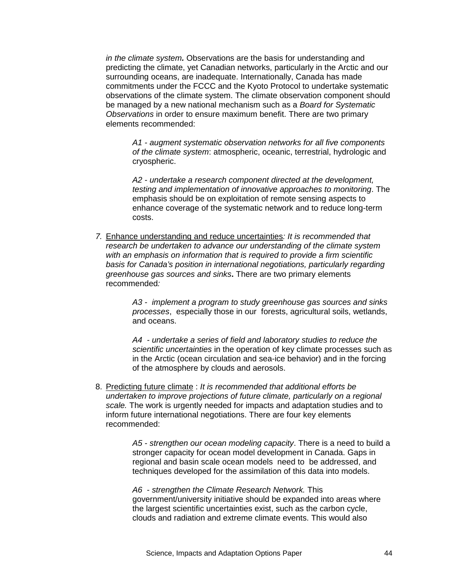*in the climate system.* Observations are the basis for understanding and predicting the climate, yet Canadian networks, particularly in the Arctic and our surrounding oceans, are inadequate. Internationally, Canada has made commitments under the FCCC and the Kyoto Protocol to undertake systematic observations of the climate system. The climate observation component should be managed by a new national mechanism such as a *Board for Systematic Observations* in order to ensure maximum benefit. There are two primary elements recommended:

*A1 - augment systematic observation networks for all five components of the climate system*: atmospheric, oceanic, terrestrial, hydrologic and cryospheric.

*A2 - undertake a research component directed at the development, testing and implementation of innovative approaches to monitoring*. The emphasis should be on exploitation of remote sensing aspects to enhance coverage of the systematic network and to reduce long-term costs.

*7.* Enhance understanding and reduce uncertainties*: It is recommended that research be undertaken to advance our understanding of the climate system with an emphasis on information that is required to provide a firm scientific basis for Canada's position in international negotiations, particularly regarding greenhouse gas sources and sinks***.** There are two primary elements recommended*:*

> *A3 - implement a program to study greenhouse gas sources and sinks processes*, especially those in our forests, agricultural soils, wetlands, and oceans.

*A4 - undertake a series of field and laboratory studies to reduce the scientific uncertainties* in the operation of key climate processes such as in the Arctic (ocean circulation and sea-ice behavior) and in the forcing of the atmosphere by clouds and aerosols.

8. Predicting future climate : *It is recommended that additional efforts be undertaken to improve projections of future climate, particularly on a regional scale.* The work is urgently needed for impacts and adaptation studies and to inform future international negotiations. There are four key elements recommended:

> *A5 - strengthen our ocean modeling capacity*. There is a need to build a stronger capacity for ocean model development in Canada. Gaps in regional and basin scale ocean models need to be addressed, and techniques developed for the assimilation of this data into models.

*A6* - *strengthen the Climate Research Network.* This government/university initiative should be expanded into areas where the largest scientific uncertainties exist, such as the carbon cycle, clouds and radiation and extreme climate events. This would also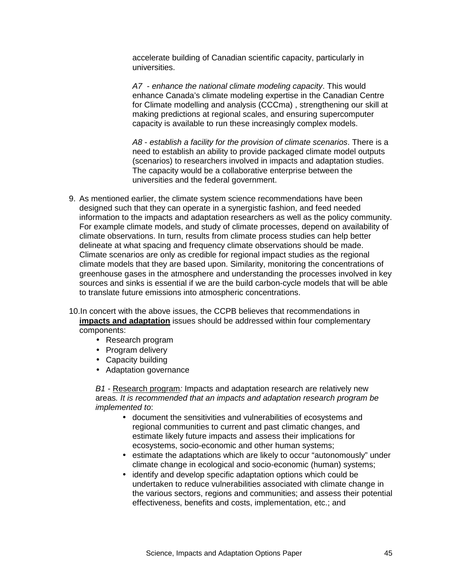accelerate building of Canadian scientific capacity, particularly in universities.

*A7* - *enhance the national climate modeling capacity*. This would enhance Canada's climate modeling expertise in the Canadian Centre for Climate modelling and analysis (CCCma) , strengthening our skill at making predictions at regional scales, and ensuring supercomputer capacity is available to run these increasingly complex models.

*A8* - *establish a facility for the provision of climate scenarios*. There is a need to establish an ability to provide packaged climate model outputs (scenarios) to researchers involved in impacts and adaptation studies. The capacity would be a collaborative enterprise between the universities and the federal government.

9. As mentioned earlier, the climate system science recommendations have been designed such that they can operate in a synergistic fashion, and feed needed information to the impacts and adaptation researchers as well as the policy community. For example climate models, and study of climate processes, depend on availability of climate observations. In turn, results from climate process studies can help better delineate at what spacing and frequency climate observations should be made. Climate scenarios are only as credible for regional impact studies as the regional climate models that they are based upon. Similarity, monitoring the concentrations of greenhouse gases in the atmosphere and understanding the processes involved in key sources and sinks is essential if we are the build carbon-cycle models that will be able to translate future emissions into atmospheric concentrations.

10. In concert with the above issues, the CCPB believes that recommendations in **impacts and adaptation** issues should be addressed within four complementary components:

- Research program
- Program delivery
- Capacity building
- Adaptation governance

*B1 -* Research program*:* Impacts and adaptation research are relatively new areas*. It is recommended that an impacts and adaptation research program be implemented to*:

- document the sensitivities and vulnerabilities of ecosystems and regional communities to current and past climatic changes, and estimate likely future impacts and assess their implications for ecosystems, socio-economic and other human systems;
- estimate the adaptations which are likely to occur "autonomously" under climate change in ecological and socio-economic (human) systems;
- identify and develop specific adaptation options which could be undertaken to reduce vulnerabilities associated with climate change in the various sectors, regions and communities; and assess their potential effectiveness, benefits and costs, implementation, etc.; and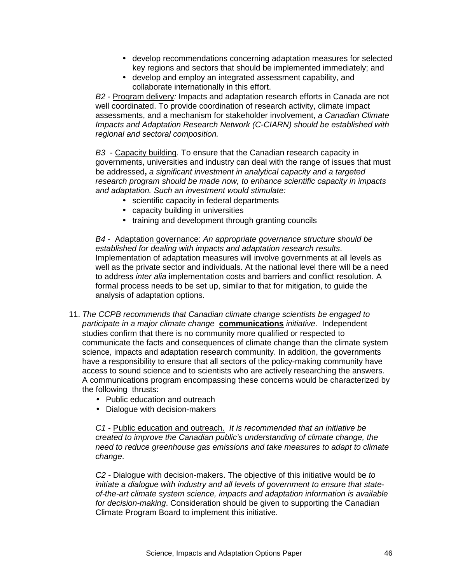- develop recommendations concerning adaptation measures for selected key regions and sectors that should be implemented immediately; and
- develop and employ an integrated assessment capability, and collaborate internationally in this effort.

*B2 -* Program delivery*:* Impacts and adaptation research efforts in Canada are not well coordinated. To provide coordination of research activity, climate impact assessments, and a mechanism for stakeholder involvement, *a Canadian Climate Impacts and Adaptation Research Network (C-CIARN) should be established with regional and sectoral composition.*

*B3* - Capacity building*.* To ensure that the Canadian research capacity in governments, universities and industry can deal with the range of issues that must be addressed**,** *a significant investment in analytical capacity and a targeted research program should be made now, to enhance scientific capacity in impacts and adaptation. Such an investment would stimulate:*

- scientific capacity in federal departments
- capacity building in universities
- training and development through granting councils

*B4 -* Adaptation governance: *An appropriate governance structure should be established for dealing with impacts and adaptation research results*. Implementation of adaptation measures will involve governments at all levels as well as the private sector and individuals. At the national level there will be a need to address *inter alia* implementation costs and barriers and conflict resolution. A formal process needs to be set up, similar to that for mitigation, to guide the analysis of adaptation options.

- 11. *The CCPB recommends that Canadian climate change scientists be engaged to participate in a major climate change* **communications** *initiative*. Independent studies confirm that there is no community more qualified or respected to communicate the facts and consequences of climate change than the climate system science, impacts and adaptation research community. In addition, the governments have a responsibility to ensure that all sectors of the policy-making community have access to sound science and to scientists who are actively researching the answers. A communications program encompassing these concerns would be characterized by the following thrusts:
	- Public education and outreach
	- Dialogue with decision-makers

*C1* - Public education and outreach. *It is recommended that an initiative be created to improve the Canadian public's understanding of climate change, the need to reduce greenhouse gas emissions and take measures to adapt to climate change*.

*C2 -* Dialogue with decision-makers. The objective of this initiative would be *to initiate a dialogue with industry and all levels of government to ensure that stateof-the-art climate system science, impacts and adaptation information is available for decision-making*. Consideration should be given to supporting the Canadian Climate Program Board to implement this initiative.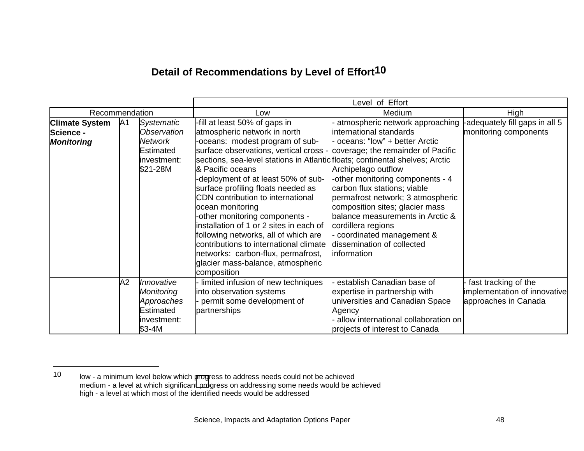# **Detail of Recommendations by Level of Effort<sup>10</sup>**

|                       |    |                |                                                                              | Level of Effort                      |                                |
|-----------------------|----|----------------|------------------------------------------------------------------------------|--------------------------------------|--------------------------------|
| Recommendation        |    |                | Low                                                                          | Medium                               | High                           |
| <b>Climate System</b> | A1 | Systematic     | -fill at least 50% of gaps in                                                | atmospheric network approaching      | -adequately fill gaps in all 5 |
| Science -             |    | Observation    | atmospheric network in north                                                 | international standards              | monitoring components          |
| <b>Monitoring</b>     |    | <b>Network</b> | -oceans: modest program of sub-                                              | oceans: "low" + better Arctic        |                                |
|                       |    | Estimated      | surface observations, vertical cross -                                       | coverage; the remainder of Pacific   |                                |
|                       |    | linvestment:   | sections, sea-level stations in Atlantic floats; continental shelves; Arctic |                                      |                                |
|                       |    | \$21-28M       | & Pacific oceans                                                             | Archipelago outflow                  |                                |
|                       |    |                | -deployment of at least 50% of sub-                                          | -other monitoring components - 4     |                                |
|                       |    |                | surface profiling floats needed as                                           | carbon flux stations; viable         |                                |
|                       |    |                | CDN contribution to international                                            | permafrost network; 3 atmospheric    |                                |
|                       |    |                | ocean monitoring                                                             | composition sites; glacier mass      |                                |
|                       |    |                | -other monitoring components -                                               | balance measurements in Arctic &     |                                |
|                       |    |                | installation of 1 or 2 sites in each of                                      | cordillera regions                   |                                |
|                       |    |                | following networks, all of which are                                         | coordinated management &             |                                |
|                       |    |                | contributions to international climate                                       | dissemination of collected           |                                |
|                       |    |                | networks: carbon-flux, permafrost,                                           | information                          |                                |
|                       |    |                | glacier mass-balance, atmospheric                                            |                                      |                                |
|                       |    |                | composition                                                                  |                                      |                                |
|                       | A2 | Innovative     | limited infusion of new techniques                                           | establish Canadian base of           | fast tracking of the           |
|                       |    | Monitoring     | into observation systems                                                     | expertise in partnership with        | implementation of innovative   |
|                       |    | Approaches     | permit some development of                                                   | universities and Canadian Space      | approaches in Canada           |
|                       |    | Estimated      | partnerships                                                                 | Agency                               |                                |
|                       |    | investment:    |                                                                              | allow international collaboration on |                                |
|                       |    | $$3-4M$        |                                                                              | projects of interest to Canada       |                                |

<sup>10</sup> low - a minimum level below which progress to address needs could not be achieved medium - a level at which significant progress on addressing some needs would be achieved high - a level at which most of the identified needs would be addressed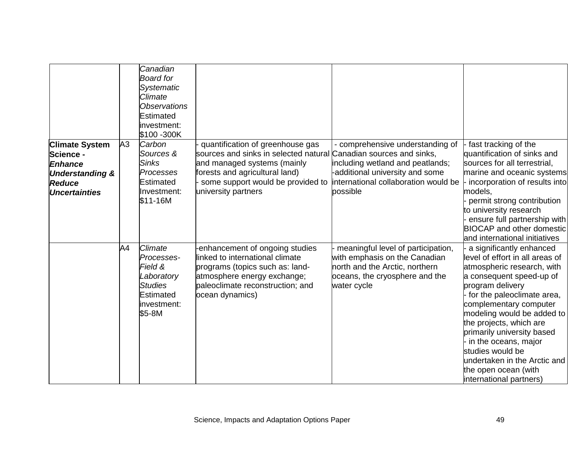|                            |                | Canadian<br><b>Board for</b> |                                                                   |                                      |                                  |
|----------------------------|----------------|------------------------------|-------------------------------------------------------------------|--------------------------------------|----------------------------------|
|                            |                | <b>Systematic</b>            |                                                                   |                                      |                                  |
|                            |                | Climate                      |                                                                   |                                      |                                  |
|                            |                | <b>Observations</b>          |                                                                   |                                      |                                  |
|                            |                | Estimated                    |                                                                   |                                      |                                  |
|                            |                | investment:                  |                                                                   |                                      |                                  |
|                            |                | \$100 - 300K                 |                                                                   |                                      |                                  |
|                            |                |                              |                                                                   |                                      |                                  |
| <b>Climate System</b>      | A <sub>3</sub> | Carbon                       | quantification of greenhouse gas                                  | - comprehensive understanding of     | fast tracking of the             |
| Science -                  |                | Sources &                    | sources and sinks in selected natural Canadian sources and sinks, |                                      | quantification of sinks and      |
| <b>Enhance</b>             |                | <b>Sinks</b>                 | and managed systems (mainly                                       | including wetland and peatlands;     | sources for all terrestrial,     |
| <b>Understanding &amp;</b> |                | Processes                    | forests and agricultural land)                                    | -additional university and some      | marine and oceanic systems       |
| <b>Reduce</b>              |                | <b>Estimated</b>             | some support would be provided to                                 | international collaboration would be | incorporation of results into    |
| <b>Uncertainties</b>       |                | Investment:                  | university partners                                               | possible                             | models,                          |
|                            |                | \$11-16M                     |                                                                   |                                      | permit strong contribution       |
|                            |                |                              |                                                                   |                                      | to university research           |
|                            |                |                              |                                                                   |                                      | ensure full partnership with     |
|                            |                |                              |                                                                   |                                      | <b>BIOCAP and other domestic</b> |
|                            |                |                              |                                                                   |                                      | and international initiatives    |
|                            | A4             | Climate                      | -enhancement of ongoing studies                                   | meaningful level of participation,   | a significantly enhanced         |
|                            |                | Processes-                   | llinked to international climate                                  | with emphasis on the Canadian        | level of effort in all areas of  |
|                            |                | Field &                      | programs (topics such as: land-                                   | north and the Arctic, northern       | atmospheric research, with       |
|                            |                | Laboratory                   | atmosphere energy exchange;                                       | oceans, the cryosphere and the       | a consequent speed-up of         |
|                            |                | <b>Studies</b>               | paleoclimate reconstruction; and                                  | water cycle                          | program delivery                 |
|                            |                | Estimated                    | ocean dynamics)                                                   |                                      | for the paleoclimate area,       |
|                            |                | linvestment:                 |                                                                   |                                      | complementary computer           |
|                            |                | \$5-8M                       |                                                                   |                                      | modeling would be added to       |
|                            |                |                              |                                                                   |                                      | the projects, which are          |
|                            |                |                              |                                                                   |                                      | primarily university based       |
|                            |                |                              |                                                                   |                                      | in the oceans, major             |
|                            |                |                              |                                                                   |                                      | studies would be                 |
|                            |                |                              |                                                                   |                                      | undertaken in the Arctic and     |
|                            |                |                              |                                                                   |                                      | the open ocean (with             |
|                            |                |                              |                                                                   |                                      | international partners)          |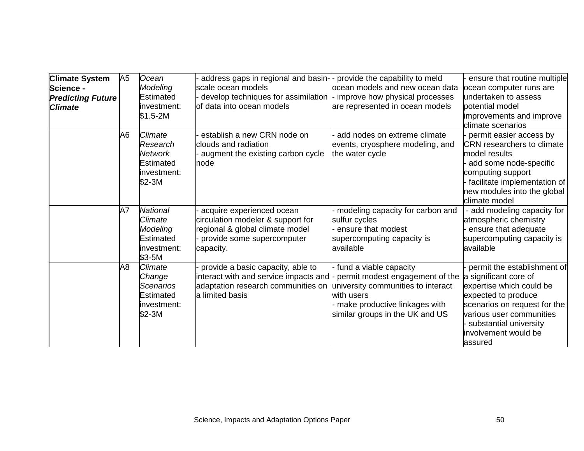| <b>Climate System</b>    | A <sub>5</sub> | Ocean           | address gaps in regional and basin-  - provide the capability to meld       |                                    | ensure that routine multiple      |
|--------------------------|----------------|-----------------|-----------------------------------------------------------------------------|------------------------------------|-----------------------------------|
| Science -                |                | Modeling        | scale ocean models                                                          | locean models and new ocean data   | ocean computer runs are           |
| <b>Predicting Future</b> |                | Estimated       | develop techniques for assimilation $\vdash$ improve how physical processes |                                    | undertaken to assess              |
| <b>Climate</b>           |                | investment:     | of data into ocean models                                                   | are represented in ocean models    | potential model                   |
|                          |                | $$1.5-2M$       |                                                                             |                                    | improvements and improve          |
|                          |                |                 |                                                                             |                                    | climate scenarios                 |
|                          | A6             | <i>Climate</i>  | establish a new CRN node on                                                 | add nodes on extreme climate       | permit easier access by           |
|                          |                | Research        | clouds and radiation                                                        | events, cryosphere modeling, and   | <b>CRN</b> researchers to climate |
|                          |                | <b>Network</b>  | augment the existing carbon cycle                                           | the water cycle                    | model results                     |
|                          |                | Estimated       | node                                                                        |                                    | add some node-specific            |
|                          |                | investment:     |                                                                             |                                    | computing support                 |
|                          |                | \$2-3M          |                                                                             |                                    | facilitate implementation of      |
|                          |                |                 |                                                                             |                                    | new modules into the global       |
|                          |                |                 |                                                                             |                                    | climate model                     |
|                          | A7             | <b>National</b> | acquire experienced ocean                                                   | modeling capacity for carbon and   | - add modeling capacity for       |
|                          |                | Climate         | circulation modeler & support for                                           | sulfur cycles                      | atmospheric chemistry             |
|                          |                | Modeling        | regional & global climate model                                             | ensure that modest                 | ensure that adequate              |
|                          |                | Estimated       | provide some supercomputer                                                  | supercomputing capacity is         | supercomputing capacity is        |
|                          |                | linvestment:    | capacity.                                                                   | available                          | available                         |
|                          |                | $$3-5M$         |                                                                             |                                    |                                   |
|                          | A8             | Climate         | provide a basic capacity, able to                                           | fund a viable capacity             | permit the establishment of       |
|                          |                | Change          | interact with and service impacts and  -                                    | permit modest engagement of the    | a significant core of             |
|                          |                | Scenarios       | adaptation research communities on                                          | university communities to interact | expertise which could be          |
|                          |                | Estimated       | a limited basis                                                             | with users                         | expected to produce               |
|                          |                | linvestment:    |                                                                             | make productive linkages with      | scenarios on request for the      |
|                          |                | \$2-3M          |                                                                             | similar groups in the UK and US    | various user communities          |
|                          |                |                 |                                                                             |                                    | substantial university            |
|                          |                |                 |                                                                             |                                    | involvement would be              |
|                          |                |                 |                                                                             |                                    | assured                           |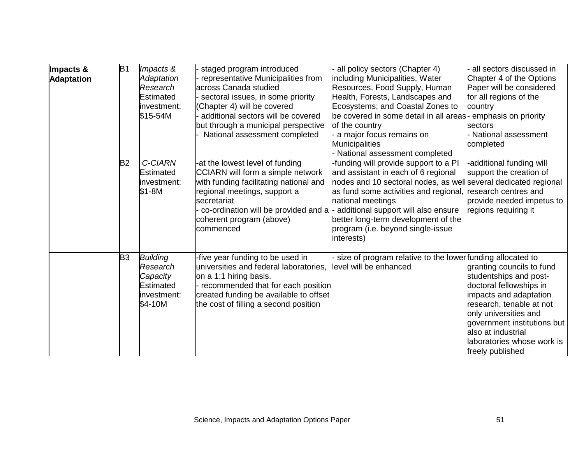| Impacts &<br><b>Adaptation</b> | B1             | Impacts &<br><b>Adaptation</b><br>Research<br>Estimated<br>investment:<br>\$15-54M | staged program introduced<br>representative Municipalities from<br>across Canada studied<br>sectoral issues, in some priority<br>Chapter 4) will be covered<br>additional sectors will be covered<br>but through a municipal perspective<br>National assessment completed                                    | all policy sectors (Chapter 4)<br>including Municipalities, Water<br>Resources, Food Supply, Human<br>Health, Forests, Landscapes and<br>Ecosystems; and Coastal Zones to<br>be covered in some detail in all areas- emphasis on priority<br>of the country<br>a major focus remains on<br>Municipalities<br>National assessment completed | all sectors discussed in<br>Chapter 4 of the Options<br>Paper will be considered<br>for all regions of the<br>country<br>lsectors<br>National assessment<br>completed                                                                                                |
|--------------------------------|----------------|------------------------------------------------------------------------------------|--------------------------------------------------------------------------------------------------------------------------------------------------------------------------------------------------------------------------------------------------------------------------------------------------------------|--------------------------------------------------------------------------------------------------------------------------------------------------------------------------------------------------------------------------------------------------------------------------------------------------------------------------------------------|----------------------------------------------------------------------------------------------------------------------------------------------------------------------------------------------------------------------------------------------------------------------|
|                                | <b>B2</b>      | C-CIARN<br>Estimated<br>investment:<br>\$1-8M                                      | -at the lowest level of funding<br><b>CCIARN will form a simple network</b><br>with funding facilitating national and<br>regional meetings, support a<br>secretariat<br>co-ordination will be provided and $a \nightharpoonup$ additional support will also ensure<br>coherent program (above)<br>lcommenced | -funding will provide support to a PI<br>and assistant in each of 6 regional<br>nodes and 10 sectoral nodes, as well several dedicated regional<br>as fund some activities and regional,<br>national meetings<br>better long-term development of the<br>program (i.e. beyond single-issue<br>interests)                                    | -additional funding will<br>support the creation of<br>research centres and<br>provide needed impetus to<br>regions requiring it                                                                                                                                     |
|                                | B <sub>3</sub> | <b>Building</b><br>Research<br>Capacity<br>Estimated<br>investment:<br>\$4-10M     | -five year funding to be used in<br>universities and federal laboratories,<br>on a 1:1 hiring basis.<br>recommended that for each position<br>created funding be available to offset<br>the cost of filling a second position                                                                                | size of program relative to the lower funding allocated to<br>level will be enhanced                                                                                                                                                                                                                                                       | granting councils to fund<br>studentships and post-<br>doctoral fellowships in<br>impacts and adaptation<br>research, tenable at not<br>only universities and<br>government institutions but<br>also at industrial<br>laboratories whose work is<br>freely published |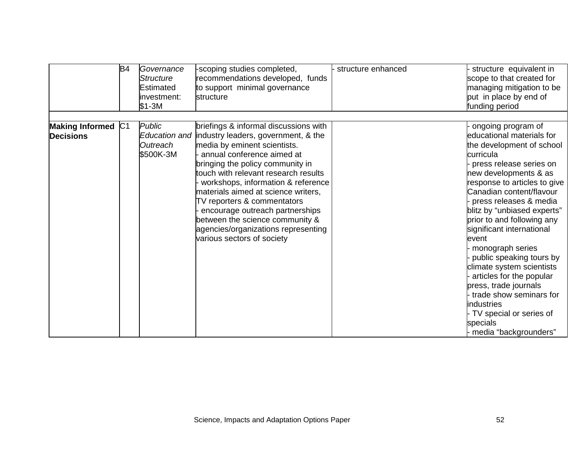|                                        | B <sub>4</sub> | Governance<br>Structure<br><b>Estimated</b><br>investment:<br>$$1-3M$ | -scoping studies completed,<br>recommendations developed, funds<br>to support minimal governance<br>structure                                                                                                                                                                                                                                                                                                                                                                               | structure enhanced | structure equivalent in<br>scope to that created for<br>managing mitigation to be<br>put in place by end of<br>funding period                                                                                                                                                                                                                                                                                                                                                                                                                                                       |
|----------------------------------------|----------------|-----------------------------------------------------------------------|---------------------------------------------------------------------------------------------------------------------------------------------------------------------------------------------------------------------------------------------------------------------------------------------------------------------------------------------------------------------------------------------------------------------------------------------------------------------------------------------|--------------------|-------------------------------------------------------------------------------------------------------------------------------------------------------------------------------------------------------------------------------------------------------------------------------------------------------------------------------------------------------------------------------------------------------------------------------------------------------------------------------------------------------------------------------------------------------------------------------------|
|                                        |                |                                                                       |                                                                                                                                                                                                                                                                                                                                                                                                                                                                                             |                    |                                                                                                                                                                                                                                                                                                                                                                                                                                                                                                                                                                                     |
| Making Informed C1<br><b>Decisions</b> |                | Public<br>Outreach<br>\$500K-3M                                       | briefings & informal discussions with<br>Education and industry leaders, government, & the<br>media by eminent scientists.<br>annual conference aimed at<br>bringing the policy community in<br>touch with relevant research results<br>workshops, information & reference<br>materials aimed at science writers,<br>TV reporters & commentators<br>encourage outreach partnerships<br>between the science community &<br>agencies/organizations representing<br>various sectors of society |                    | ongoing program of<br>educational materials for<br>the development of school<br>curricula<br>press release series on<br>new developments & as<br>response to articles to give<br>Canadian content/flavour<br>press releases & media<br>blitz by "unbiased experts"<br>prior to and following any<br>significant international<br>event<br>monograph series<br>public speaking tours by<br>climate system scientists<br>articles for the popular<br>press, trade journals<br>trade show seminars for<br>industries<br>TV special or series of<br>specials<br>- media "backgrounders" |